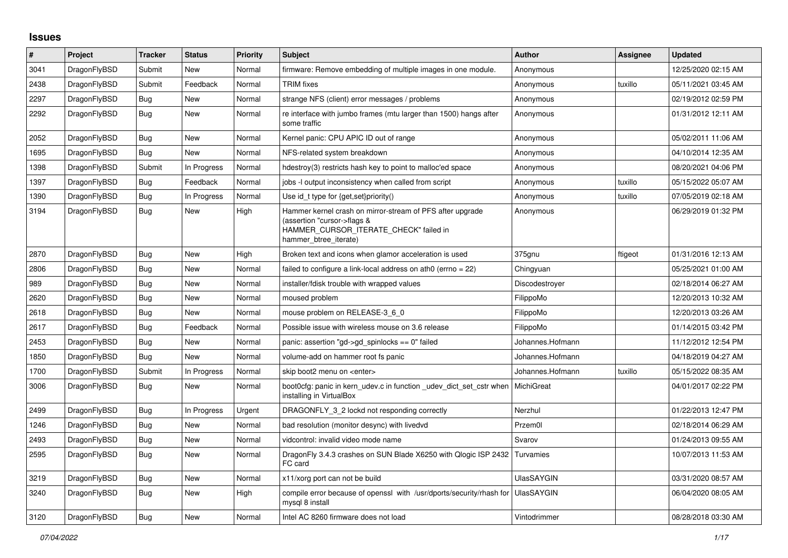## **Issues**

| $\vert$ # | Project      | <b>Tracker</b> | <b>Status</b> | <b>Priority</b> | <b>Subject</b>                                                                                                                                              | <b>Author</b>     | Assignee | <b>Updated</b>      |
|-----------|--------------|----------------|---------------|-----------------|-------------------------------------------------------------------------------------------------------------------------------------------------------------|-------------------|----------|---------------------|
| 3041      | DragonFlyBSD | Submit         | <b>New</b>    | Normal          | firmware: Remove embedding of multiple images in one module.                                                                                                | Anonymous         |          | 12/25/2020 02:15 AM |
| 2438      | DragonFlyBSD | Submit         | Feedback      | Normal          | <b>TRIM</b> fixes                                                                                                                                           | Anonymous         | tuxillo  | 05/11/2021 03:45 AM |
| 2297      | DragonFlyBSD | Bug            | New           | Normal          | strange NFS (client) error messages / problems                                                                                                              | Anonymous         |          | 02/19/2012 02:59 PM |
| 2292      | DragonFlyBSD | <b>Bug</b>     | New           | Normal          | re interface with jumbo frames (mtu larger than 1500) hangs after<br>some traffic                                                                           | Anonymous         |          | 01/31/2012 12:11 AM |
| 2052      | DragonFlyBSD | <b>Bug</b>     | New           | Normal          | Kernel panic: CPU APIC ID out of range                                                                                                                      | Anonymous         |          | 05/02/2011 11:06 AM |
| 1695      | DragonFlyBSD | Bug            | <b>New</b>    | Normal          | NFS-related system breakdown                                                                                                                                | Anonymous         |          | 04/10/2014 12:35 AM |
| 1398      | DragonFlyBSD | Submit         | In Progress   | Normal          | hdestroy(3) restricts hash key to point to malloc'ed space                                                                                                  | Anonymous         |          | 08/20/2021 04:06 PM |
| 1397      | DragonFlyBSD | Bug            | Feedback      | Normal          | jobs -I output inconsistency when called from script                                                                                                        | Anonymous         | tuxillo  | 05/15/2022 05:07 AM |
| 1390      | DragonFlyBSD | Bug            | In Progress   | Normal          | Use id_t type for {get, set}priority()                                                                                                                      | Anonymous         | tuxillo  | 07/05/2019 02:18 AM |
| 3194      | DragonFlyBSD | <b>Bug</b>     | New           | High            | Hammer kernel crash on mirror-stream of PFS after upgrade<br>(assertion "cursor->flags &<br>HAMMER CURSOR ITERATE CHECK" failed in<br>hammer btree iterate) | Anonymous         |          | 06/29/2019 01:32 PM |
| 2870      | DragonFlyBSD | <b>Bug</b>     | <b>New</b>    | High            | Broken text and icons when glamor acceleration is used                                                                                                      | 375gnu            | ftigeot  | 01/31/2016 12:13 AM |
| 2806      | DragonFlyBSD | Bug            | <b>New</b>    | Normal          | failed to configure a link-local address on ath0 (errno = 22)                                                                                               | Chingyuan         |          | 05/25/2021 01:00 AM |
| 989       | DragonFlyBSD | Bug            | New           | Normal          | installer/fdisk trouble with wrapped values                                                                                                                 | Discodestroyer    |          | 02/18/2014 06:27 AM |
| 2620      | DragonFlyBSD | Bug            | New           | Normal          | moused problem                                                                                                                                              | FilippoMo         |          | 12/20/2013 10:32 AM |
| 2618      | DragonFlyBSD | Bug            | New           | Normal          | mouse problem on RELEASE-3 6 0                                                                                                                              | FilippoMo         |          | 12/20/2013 03:26 AM |
| 2617      | DragonFlyBSD | <b>Bug</b>     | Feedback      | Normal          | Possible issue with wireless mouse on 3.6 release                                                                                                           | FilippoMo         |          | 01/14/2015 03:42 PM |
| 2453      | DragonFlyBSD | <b>Bug</b>     | New           | Normal          | panic: assertion "gd->gd_spinlocks == 0" failed                                                                                                             | Johannes.Hofmann  |          | 11/12/2012 12:54 PM |
| 1850      | DragonFlyBSD | Bug            | New           | Normal          | volume-add on hammer root fs panic                                                                                                                          | Johannes.Hofmann  |          | 04/18/2019 04:27 AM |
| 1700      | DragonFlyBSD | Submit         | In Progress   | Normal          | skip boot2 menu on <enter></enter>                                                                                                                          | Johannes.Hofmann  | tuxillo  | 05/15/2022 08:35 AM |
| 3006      | DragonFlyBSD | Bug            | New           | Normal          | boot0cfg: panic in kern_udev.c in function _udev_dict_set_cstr when<br>installing in VirtualBox                                                             | MichiGreat        |          | 04/01/2017 02:22 PM |
| 2499      | DragonFlyBSD | Bug            | In Progress   | Urgent          | DRAGONFLY 3 2 lockd not responding correctly                                                                                                                | Nerzhul           |          | 01/22/2013 12:47 PM |
| 1246      | DragonFlyBSD | <b>Bug</b>     | New           | Normal          | bad resolution (monitor desync) with livedvd                                                                                                                | Przem0l           |          | 02/18/2014 06:29 AM |
| 2493      | DragonFlyBSD | Bug            | New           | Normal          | vidcontrol: invalid video mode name                                                                                                                         | Svarov            |          | 01/24/2013 09:55 AM |
| 2595      | DragonFlyBSD | Bug            | New           | Normal          | DragonFly 3.4.3 crashes on SUN Blade X6250 with Qlogic ISP 2432<br>FC card                                                                                  | Turvamies         |          | 10/07/2013 11:53 AM |
| 3219      | DragonFlyBSD | <b>Bug</b>     | New           | Normal          | x11/xorg port can not be build                                                                                                                              | <b>UlasSAYGIN</b> |          | 03/31/2020 08:57 AM |
| 3240      | DragonFlyBSD | Bug            | New           | High            | compile error because of openssl with /usr/dports/security/rhash for<br>mysql 8 install                                                                     | <b>UlasSAYGIN</b> |          | 06/04/2020 08:05 AM |
| 3120      | DragonFlyBSD | Bug            | New           | Normal          | Intel AC 8260 firmware does not load                                                                                                                        | Vintodrimmer      |          | 08/28/2018 03:30 AM |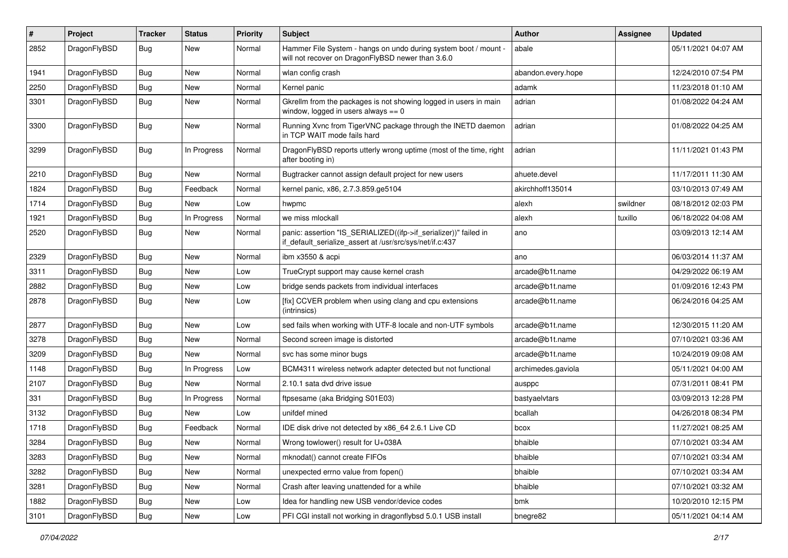| $\#$ | Project      | <b>Tracker</b> | <b>Status</b> | <b>Priority</b> | Subject                                                                                                                      | <b>Author</b>      | Assignee | <b>Updated</b>      |
|------|--------------|----------------|---------------|-----------------|------------------------------------------------------------------------------------------------------------------------------|--------------------|----------|---------------------|
| 2852 | DragonFlyBSD | <b>Bug</b>     | New           | Normal          | Hammer File System - hangs on undo during system boot / mount -<br>will not recover on DragonFlyBSD newer than 3.6.0         | abale              |          | 05/11/2021 04:07 AM |
| 1941 | DragonFlyBSD | <b>Bug</b>     | New           | Normal          | wlan config crash                                                                                                            | abandon.every.hope |          | 12/24/2010 07:54 PM |
| 2250 | DragonFlyBSD | <b>Bug</b>     | New           | Normal          | Kernel panic                                                                                                                 | adamk              |          | 11/23/2018 01:10 AM |
| 3301 | DragonFlyBSD | <b>Bug</b>     | New           | Normal          | Gkrellm from the packages is not showing logged in users in main<br>window, logged in users always $== 0$                    | adrian             |          | 01/08/2022 04:24 AM |
| 3300 | DragonFlyBSD | <b>Bug</b>     | New           | Normal          | Running Xvnc from TigerVNC package through the INETD daemon<br>in TCP WAIT mode fails hard                                   | adrian             |          | 01/08/2022 04:25 AM |
| 3299 | DragonFlyBSD | <b>Bug</b>     | In Progress   | Normal          | DragonFlyBSD reports utterly wrong uptime (most of the time, right<br>after booting in)                                      | adrian             |          | 11/11/2021 01:43 PM |
| 2210 | DragonFlyBSD | <b>Bug</b>     | New           | Normal          | Bugtracker cannot assign default project for new users                                                                       | ahuete.devel       |          | 11/17/2011 11:30 AM |
| 1824 | DragonFlyBSD | <b>Bug</b>     | Feedback      | Normal          | kernel panic, x86, 2.7.3.859.ge5104                                                                                          | akirchhoff135014   |          | 03/10/2013 07:49 AM |
| 1714 | DragonFlyBSD | <b>Bug</b>     | New           | Low             | hwpmc                                                                                                                        | alexh              | swildner | 08/18/2012 02:03 PM |
| 1921 | DragonFlyBSD | Bug            | In Progress   | Normal          | we miss mlockall                                                                                                             | alexh              | tuxillo  | 06/18/2022 04:08 AM |
| 2520 | DragonFlyBSD | <b>Bug</b>     | <b>New</b>    | Normal          | panic: assertion "IS_SERIALIZED((ifp->if_serializer))" failed in<br>if default serialize assert at /usr/src/sys/net/if.c:437 | ano                |          | 03/09/2013 12:14 AM |
| 2329 | DragonFlyBSD | <b>Bug</b>     | <b>New</b>    | Normal          | ibm x3550 & acpi                                                                                                             | ano                |          | 06/03/2014 11:37 AM |
| 3311 | DragonFlyBSD | <b>Bug</b>     | New           | Low             | TrueCrypt support may cause kernel crash                                                                                     | arcade@b1t.name    |          | 04/29/2022 06:19 AM |
| 2882 | DragonFlyBSD | <b>Bug</b>     | <b>New</b>    | Low             | bridge sends packets from individual interfaces                                                                              | arcade@b1t.name    |          | 01/09/2016 12:43 PM |
| 2878 | DragonFlyBSD | <b>Bug</b>     | New           | Low             | [fix] CCVER problem when using clang and cpu extensions<br>(intrinsics)                                                      | arcade@b1t.name    |          | 06/24/2016 04:25 AM |
| 2877 | DragonFlyBSD | <b>Bug</b>     | New           | Low             | sed fails when working with UTF-8 locale and non-UTF symbols                                                                 | arcade@b1t.name    |          | 12/30/2015 11:20 AM |
| 3278 | DragonFlyBSD | <b>Bug</b>     | New           | Normal          | Second screen image is distorted                                                                                             | arcade@b1t.name    |          | 07/10/2021 03:36 AM |
| 3209 | DragonFlyBSD | <b>Bug</b>     | New           | Normal          | svc has some minor bugs                                                                                                      | arcade@b1t.name    |          | 10/24/2019 09:08 AM |
| 1148 | DragonFlyBSD | <b>Bug</b>     | In Progress   | Low             | BCM4311 wireless network adapter detected but not functional                                                                 | archimedes.gaviola |          | 05/11/2021 04:00 AM |
| 2107 | DragonFlyBSD | <b>Bug</b>     | New           | Normal          | 2.10.1 sata dvd drive issue                                                                                                  | ausppc             |          | 07/31/2011 08:41 PM |
| 331  | DragonFlyBSD | <b>Bug</b>     | In Progress   | Normal          | ftpsesame (aka Bridging S01E03)                                                                                              | bastyaelvtars      |          | 03/09/2013 12:28 PM |
| 3132 | DragonFlyBSD | <b>Bug</b>     | New           | Low             | unifdef mined                                                                                                                | bcallah            |          | 04/26/2018 08:34 PM |
| 1718 | DragonFlyBSD | <b>Bug</b>     | Feedback      | Normal          | IDE disk drive not detected by x86 64 2.6.1 Live CD                                                                          | bcox               |          | 11/27/2021 08:25 AM |
| 3284 | DragonFlyBSD | Bug            | <b>New</b>    | Normal          | Wrong towlower() result for U+038A                                                                                           | bhaible            |          | 07/10/2021 03:34 AM |
| 3283 | DragonFlyBSD | <b>Bug</b>     | New           | Normal          | mknodat() cannot create FIFOs                                                                                                | bhaible            |          | 07/10/2021 03:34 AM |
| 3282 | DragonFlyBSD | <b>Bug</b>     | New           | Normal          | unexpected errno value from fopen()                                                                                          | bhaible            |          | 07/10/2021 03:34 AM |
| 3281 | DragonFlyBSD | <b>Bug</b>     | <b>New</b>    | Normal          | Crash after leaving unattended for a while                                                                                   | bhaible            |          | 07/10/2021 03:32 AM |
| 1882 | DragonFlyBSD | Bug            | <b>New</b>    | Low             | Idea for handling new USB vendor/device codes                                                                                | bmk                |          | 10/20/2010 12:15 PM |
| 3101 | DragonFlyBSD | <b>Bug</b>     | New           | Low             | PFI CGI install not working in dragonflybsd 5.0.1 USB install                                                                | bnegre82           |          | 05/11/2021 04:14 AM |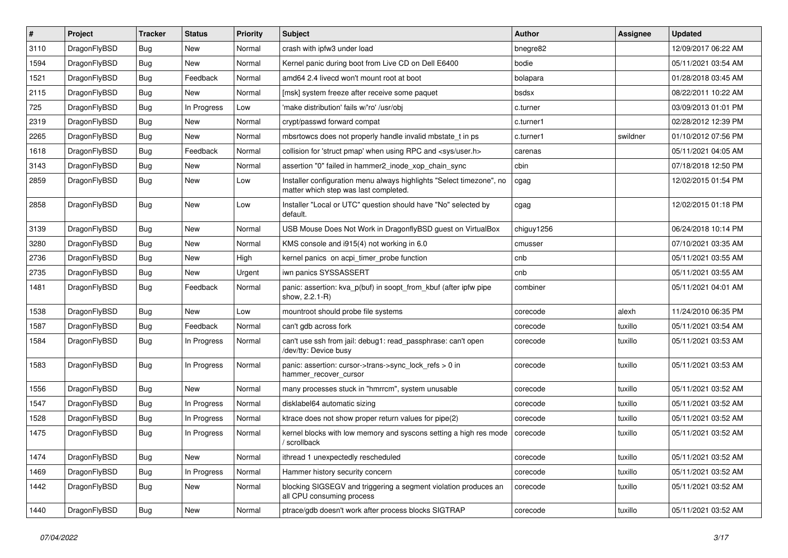| $\sharp$ | Project      | <b>Tracker</b> | <b>Status</b> | <b>Priority</b> | Subject                                                                                                       | <b>Author</b> | Assignee | <b>Updated</b>      |
|----------|--------------|----------------|---------------|-----------------|---------------------------------------------------------------------------------------------------------------|---------------|----------|---------------------|
| 3110     | DragonFlyBSD | <b>Bug</b>     | New           | Normal          | crash with ipfw3 under load                                                                                   | bnegre82      |          | 12/09/2017 06:22 AM |
| 1594     | DragonFlyBSD | Bug            | New           | Normal          | Kernel panic during boot from Live CD on Dell E6400                                                           | bodie         |          | 05/11/2021 03:54 AM |
| 1521     | DragonFlyBSD | <b>Bug</b>     | Feedback      | Normal          | amd64 2.4 livecd won't mount root at boot                                                                     | bolapara      |          | 01/28/2018 03:45 AM |
| 2115     | DragonFlyBSD | <b>Bug</b>     | New           | Normal          | [msk] system freeze after receive some paquet                                                                 | bsdsx         |          | 08/22/2011 10:22 AM |
| 725      | DragonFlyBSD | Bug            | In Progress   | Low             | 'make distribution' fails w/'ro' /usr/obj                                                                     | c.turner      |          | 03/09/2013 01:01 PM |
| 2319     | DragonFlyBSD | Bug            | <b>New</b>    | Normal          | crypt/passwd forward compat                                                                                   | c.turner1     |          | 02/28/2012 12:39 PM |
| 2265     | DragonFlyBSD | <b>Bug</b>     | New           | Normal          | mbsrtowcs does not properly handle invalid mbstate_t in ps                                                    | c.turner1     | swildner | 01/10/2012 07:56 PM |
| 1618     | DragonFlyBSD | <b>Bug</b>     | Feedback      | Normal          | collision for 'struct pmap' when using RPC and <sys user.h=""></sys>                                          | carenas       |          | 05/11/2021 04:05 AM |
| 3143     | DragonFlyBSD | <b>Bug</b>     | <b>New</b>    | Normal          | assertion "0" failed in hammer2 inode xop chain sync                                                          | cbin          |          | 07/18/2018 12:50 PM |
| 2859     | DragonFlyBSD | Bug            | New           | Low             | Installer configuration menu always highlights "Select timezone", no<br>matter which step was last completed. | cgag          |          | 12/02/2015 01:54 PM |
| 2858     | DragonFlyBSD | Bug            | New           | Low             | Installer "Local or UTC" question should have "No" selected by<br>default.                                    | cgag          |          | 12/02/2015 01:18 PM |
| 3139     | DragonFlyBSD | Bug            | New           | Normal          | USB Mouse Does Not Work in DragonflyBSD quest on VirtualBox                                                   | chiguy1256    |          | 06/24/2018 10:14 PM |
| 3280     | DragonFlyBSD | <b>Bug</b>     | New           | Normal          | KMS console and i915(4) not working in 6.0                                                                    | cmusser       |          | 07/10/2021 03:35 AM |
| 2736     | DragonFlyBSD | <b>Bug</b>     | New           | High            | kernel panics on acpi timer probe function                                                                    | cnb           |          | 05/11/2021 03:55 AM |
| 2735     | DragonFlyBSD | <b>Bug</b>     | New           | Urgent          | iwn panics SYSSASSERT                                                                                         | cnb           |          | 05/11/2021 03:55 AM |
| 1481     | DragonFlyBSD | Bug            | Feedback      | Normal          | panic: assertion: kva_p(buf) in soopt_from_kbuf (after ipfw pipe<br>show, 2.2.1-R)                            | combiner      |          | 05/11/2021 04:01 AM |
| 1538     | DragonFlyBSD | Bug            | <b>New</b>    | Low             | mountroot should probe file systems                                                                           | corecode      | alexh    | 11/24/2010 06:35 PM |
| 1587     | DragonFlyBSD | <b>Bug</b>     | Feedback      | Normal          | can't gdb across fork                                                                                         | corecode      | tuxillo  | 05/11/2021 03:54 AM |
| 1584     | DragonFlyBSD | <b>Bug</b>     | In Progress   | Normal          | can't use ssh from jail: debug1: read_passphrase: can't open<br>/dev/tty: Device busy                         | corecode      | tuxillo  | 05/11/2021 03:53 AM |
| 1583     | DragonFlyBSD | Bug            | In Progress   | Normal          | panic: assertion: cursor->trans->sync_lock_refs > 0 in<br>hammer_recover_cursor                               | corecode      | tuxillo  | 05/11/2021 03:53 AM |
| 1556     | DragonFlyBSD | Bug            | <b>New</b>    | Normal          | many processes stuck in "hmrrcm", system unusable                                                             | corecode      | tuxillo  | 05/11/2021 03:52 AM |
| 1547     | DragonFlyBSD | <b>Bug</b>     | In Progress   | Normal          | disklabel64 automatic sizing                                                                                  | corecode      | tuxillo  | 05/11/2021 03:52 AM |
| 1528     | DragonFlyBSD | <b>Bug</b>     | In Progress   | Normal          | ktrace does not show proper return values for pipe(2)                                                         | corecode      | tuxillo  | 05/11/2021 03:52 AM |
| 1475     | DragonFlyBSD | Bug            | In Progress   | Normal          | kernel blocks with low memory and syscons setting a high res mode<br>/ scrollback                             | corecode      | tuxillo  | 05/11/2021 03:52 AM |
| 1474     | DragonFlyBSD | Bug            | New           | Normal          | ithread 1 unexpectedly rescheduled                                                                            | corecode      | tuxillo  | 05/11/2021 03:52 AM |
| 1469     | DragonFlyBSD | Bug            | In Progress   | Normal          | Hammer history security concern                                                                               | corecode      | tuxillo  | 05/11/2021 03:52 AM |
| 1442     | DragonFlyBSD | <b>Bug</b>     | New           | Normal          | blocking SIGSEGV and triggering a segment violation produces an<br>all CPU consuming process                  | corecode      | tuxillo  | 05/11/2021 03:52 AM |
| 1440     | DragonFlyBSD | <b>Bug</b>     | New           | Normal          | ptrace/gdb doesn't work after process blocks SIGTRAP                                                          | corecode      | tuxillo  | 05/11/2021 03:52 AM |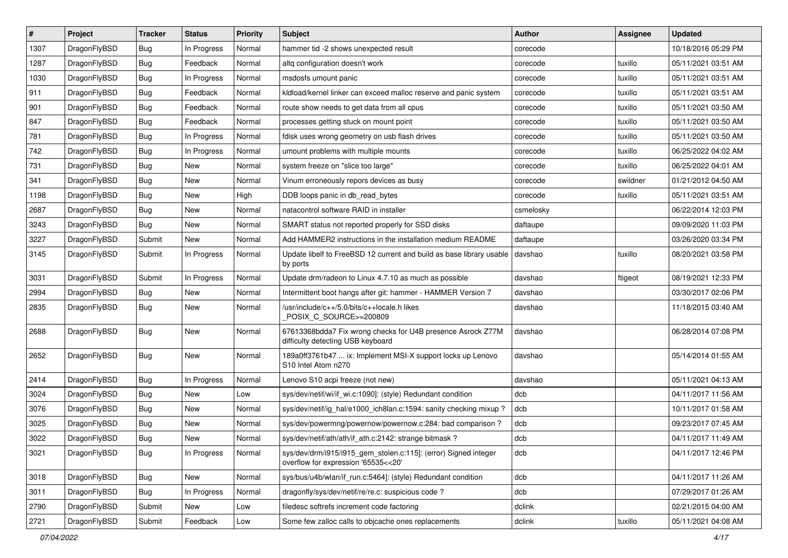| $\overline{\boldsymbol{H}}$ | Project      | <b>Tracker</b> | <b>Status</b> | Priority | Subject                                                                                                | <b>Author</b> | <b>Assignee</b> | <b>Updated</b>      |
|-----------------------------|--------------|----------------|---------------|----------|--------------------------------------------------------------------------------------------------------|---------------|-----------------|---------------------|
| 1307                        | DragonFlyBSD | Bug            | In Progress   | Normal   | hammer tid -2 shows unexpected result                                                                  | corecode      |                 | 10/18/2016 05:29 PM |
| 1287                        | DragonFlyBSD | Bug            | Feedback      | Normal   | altg configuration doesn't work                                                                        | corecode      | tuxillo         | 05/11/2021 03:51 AM |
| 1030                        | DragonFlyBSD | Bug            | In Progress   | Normal   | msdosfs umount panic                                                                                   | corecode      | tuxillo         | 05/11/2021 03:51 AM |
| 911                         | DragonFlyBSD | Bug            | Feedback      | Normal   | kldload/kernel linker can exceed malloc reserve and panic system                                       | corecode      | tuxillo         | 05/11/2021 03:51 AM |
| 901                         | DragonFlyBSD | Bug            | Feedback      | Normal   | route show needs to get data from all cpus                                                             | corecode      | tuxillo         | 05/11/2021 03:50 AM |
| 847                         | DragonFlyBSD | Bug            | Feedback      | Normal   | processes getting stuck on mount point                                                                 | corecode      | tuxillo         | 05/11/2021 03:50 AM |
| 781                         | DragonFlyBSD | Bug            | In Progress   | Normal   | fdisk uses wrong geometry on usb flash drives                                                          | corecode      | tuxillo         | 05/11/2021 03:50 AM |
| 742                         | DragonFlyBSD | Bug            | In Progress   | Normal   | umount problems with multiple mounts                                                                   | corecode      | tuxillo         | 06/25/2022 04:02 AM |
| 731                         | DragonFlyBSD | Bug            | <b>New</b>    | Normal   | system freeze on "slice too large"                                                                     | corecode      | tuxillo         | 06/25/2022 04:01 AM |
| 341                         | DragonFlyBSD | Bug            | <b>New</b>    | Normal   | Vinum erroneously repors devices as busy                                                               | corecode      | swildner        | 01/21/2012 04:50 AM |
| 1198                        | DragonFlyBSD | Bug            | New           | High     | DDB loops panic in db read bytes                                                                       | corecode      | tuxillo         | 05/11/2021 03:51 AM |
| 2687                        | DragonFlyBSD | Bug            | <b>New</b>    | Normal   | natacontrol software RAID in installer                                                                 | csmelosky     |                 | 06/22/2014 12:03 PM |
| 3243                        | DragonFlyBSD | Bug            | <b>New</b>    | Normal   | SMART status not reported properly for SSD disks                                                       | daftaupe      |                 | 09/09/2020 11:03 PM |
| 3227                        | DragonFlyBSD | Submit         | New           | Normal   | Add HAMMER2 instructions in the installation medium README                                             | daftaupe      |                 | 03/26/2020 03:34 PM |
| 3145                        | DragonFlyBSD | Submit         | In Progress   | Normal   | Update libelf to FreeBSD 12 current and build as base library usable<br>by ports                       | davshao       | tuxillo         | 08/20/2021 03:58 PM |
| 3031                        | DragonFlyBSD | Submit         | In Progress   | Normal   | Update drm/radeon to Linux 4.7.10 as much as possible                                                  | davshao       | ftigeot         | 08/19/2021 12:33 PM |
| 2994                        | DragonFlyBSD | Bug            | <b>New</b>    | Normal   | Intermittent boot hangs after git: hammer - HAMMER Version 7                                           | davshao       |                 | 03/30/2017 02:06 PM |
| 2835                        | DragonFlyBSD | Bug            | <b>New</b>    | Normal   | /usr/include/c++/5.0/bits/c++locale.h likes<br>POSIX_C_SOURCE>=200809                                  | davshao       |                 | 11/18/2015 03:40 AM |
| 2688                        | DragonFlyBSD | Bug            | New           | Normal   | 67613368bdda7 Fix wrong checks for U4B presence Asrock Z77M<br>difficulty detecting USB keyboard       | davshao       |                 | 06/28/2014 07:08 PM |
| 2652                        | DragonFlyBSD | Bug            | <b>New</b>    | Normal   | 189a0ff3761b47  ix: Implement MSI-X support locks up Lenovo<br>S10 Intel Atom n270                     | davshao       |                 | 05/14/2014 01:55 AM |
| 2414                        | DragonFlyBSD | Bug            | In Progress   | Normal   | Lenovo S10 acpi freeze (not new)                                                                       | davshao       |                 | 05/11/2021 04:13 AM |
| 3024                        | DragonFlyBSD | Bug            | <b>New</b>    | Low      | sys/dev/netif/wi/if_wi.c:1090]: (style) Redundant condition                                            | dcb           |                 | 04/11/2017 11:56 AM |
| 3076                        | DragonFlyBSD | Bug            | New           | Normal   | sys/dev/netif/ig_hal/e1000_ich8lan.c:1594: sanity checking mixup?                                      | dcb           |                 | 10/11/2017 01:58 AM |
| 3025                        | DragonFlyBSD | Bug            | New           | Normal   | sys/dev/powermng/powernow/powernow.c:284: bad comparison?                                              | dcb           |                 | 09/23/2017 07:45 AM |
| 3022                        | DragonFlyBSD | Bug            | <b>New</b>    | Normal   | sys/dev/netif/ath/ath/if_ath.c:2142: strange bitmask?                                                  | dcb           |                 | 04/11/2017 11:49 AM |
| 3021                        | DragonFlyBSD | <b>Bug</b>     | In Progress   | Normal   | sys/dev/drm/i915/i915_gem_stolen.c:115]: (error) Signed integer<br>overflow for expression '65535<<20' | dcb           |                 | 04/11/2017 12:46 PM |
| 3018                        | DragonFlyBSD | <b>Bug</b>     | New           | Normal   | sys/bus/u4b/wlan/if_run.c:5464]: (style) Redundant condition                                           | dcb           |                 | 04/11/2017 11:26 AM |
| 3011                        | DragonFlyBSD | Bug            | In Progress   | Normal   | dragonfly/sys/dev/netif/re/re.c: suspicious code?                                                      | dcb           |                 | 07/29/2017 01:26 AM |
| 2790                        | DragonFlyBSD | Submit         | New           | Low      | filedesc softrefs increment code factoring                                                             | dclink        |                 | 02/21/2015 04:00 AM |
| 2721                        | DragonFlyBSD | Submit         | Feedback      | Low      | Some few zalloc calls to objcache ones replacements                                                    | dclink        | tuxillo         | 05/11/2021 04:08 AM |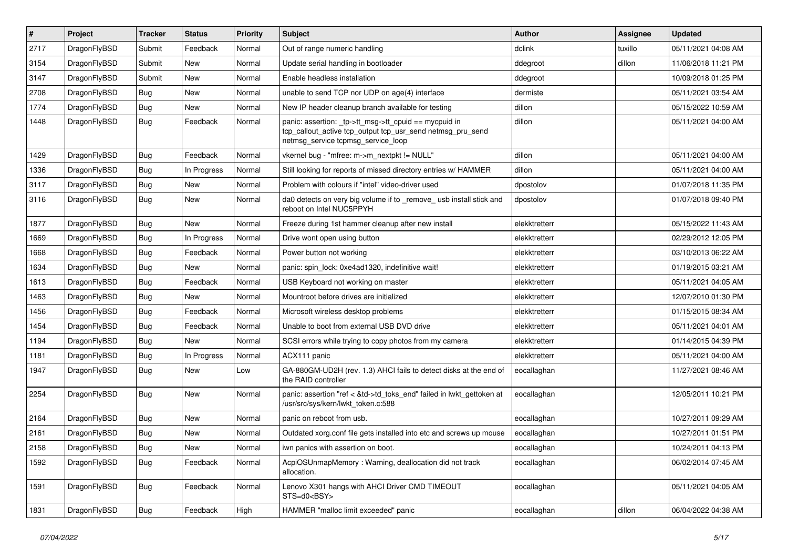| $\vert$ # | Project      | <b>Tracker</b> | <b>Status</b> | <b>Priority</b> | <b>Subject</b>                                                                                                                                            | <b>Author</b> | Assignee | <b>Updated</b>      |
|-----------|--------------|----------------|---------------|-----------------|-----------------------------------------------------------------------------------------------------------------------------------------------------------|---------------|----------|---------------------|
| 2717      | DragonFlyBSD | Submit         | Feedback      | Normal          | Out of range numeric handling                                                                                                                             | dclink        | tuxillo  | 05/11/2021 04:08 AM |
| 3154      | DragonFlyBSD | Submit         | <b>New</b>    | Normal          | Update serial handling in bootloader                                                                                                                      | ddegroot      | dillon   | 11/06/2018 11:21 PM |
| 3147      | DragonFlyBSD | Submit         | <b>New</b>    | Normal          | Enable headless installation                                                                                                                              | ddegroot      |          | 10/09/2018 01:25 PM |
| 2708      | DragonFlyBSD | Bug            | <b>New</b>    | Normal          | unable to send TCP nor UDP on age(4) interface                                                                                                            | dermiste      |          | 05/11/2021 03:54 AM |
| 1774      | DragonFlyBSD | <b>Bug</b>     | <b>New</b>    | Normal          | New IP header cleanup branch available for testing                                                                                                        | dillon        |          | 05/15/2022 10:59 AM |
| 1448      | DragonFlyBSD | Bug            | Feedback      | Normal          | panic: assertion: _tp->tt_msg->tt_cpuid == mycpuid in<br>tcp_callout_active tcp_output tcp_usr_send netmsg_pru_send<br>netmsg_service tcpmsg_service_loop | dillon        |          | 05/11/2021 04:00 AM |
| 1429      | DragonFlyBSD | Bug            | Feedback      | Normal          | vkernel bug - "mfree: m->m_nextpkt != NULL"                                                                                                               | dillon        |          | 05/11/2021 04:00 AM |
| 1336      | DragonFlyBSD | Bug            | In Progress   | Normal          | Still looking for reports of missed directory entries w/ HAMMER                                                                                           | dillon        |          | 05/11/2021 04:00 AM |
| 3117      | DragonFlyBSD | <b>Bug</b>     | <b>New</b>    | Normal          | Problem with colours if "intel" video-driver used                                                                                                         | dpostolov     |          | 01/07/2018 11:35 PM |
| 3116      | DragonFlyBSD | Bug            | <b>New</b>    | Normal          | da0 detects on very big volume if to _remove_ usb install stick and<br>reboot on Intel NUC5PPYH                                                           | dpostolov     |          | 01/07/2018 09:40 PM |
| 1877      | DragonFlyBSD | Bug            | New           | Normal          | Freeze during 1st hammer cleanup after new install                                                                                                        | elekktretterr |          | 05/15/2022 11:43 AM |
| 1669      | DragonFlyBSD | Bug            | In Progress   | Normal          | Drive wont open using button                                                                                                                              | elekktretterr |          | 02/29/2012 12:05 PM |
| 1668      | DragonFlyBSD | <b>Bug</b>     | Feedback      | Normal          | Power button not working                                                                                                                                  | elekktretterr |          | 03/10/2013 06:22 AM |
| 1634      | DragonFlyBSD | <b>Bug</b>     | <b>New</b>    | Normal          | panic: spin lock: 0xe4ad1320, indefinitive wait!                                                                                                          | elekktretterr |          | 01/19/2015 03:21 AM |
| 1613      | DragonFlyBSD | <b>Bug</b>     | Feedback      | Normal          | USB Keyboard not working on master                                                                                                                        | elekktretterr |          | 05/11/2021 04:05 AM |
| 1463      | DragonFlyBSD | Bug            | <b>New</b>    | Normal          | Mountroot before drives are initialized                                                                                                                   | elekktretterr |          | 12/07/2010 01:30 PM |
| 1456      | DragonFlyBSD | Bug            | Feedback      | Normal          | Microsoft wireless desktop problems                                                                                                                       | elekktretterr |          | 01/15/2015 08:34 AM |
| 1454      | DragonFlyBSD | <b>Bug</b>     | Feedback      | Normal          | Unable to boot from external USB DVD drive                                                                                                                | elekktretterr |          | 05/11/2021 04:01 AM |
| 1194      | DragonFlyBSD | Bug            | <b>New</b>    | Normal          | SCSI errors while trying to copy photos from my camera                                                                                                    | elekktretterr |          | 01/14/2015 04:39 PM |
| 1181      | DragonFlyBSD | <b>Bug</b>     | In Progress   | Normal          | ACX111 panic                                                                                                                                              | elekktretterr |          | 05/11/2021 04:00 AM |
| 1947      | DragonFlyBSD | <b>Bug</b>     | <b>New</b>    | Low             | GA-880GM-UD2H (rev. 1.3) AHCI fails to detect disks at the end of<br>the RAID controller                                                                  | eocallaghan   |          | 11/27/2021 08:46 AM |
| 2254      | DragonFlyBSD | <b>Bug</b>     | <b>New</b>    | Normal          | panic: assertion "ref < &td->td_toks_end" failed in lwkt_gettoken at<br>/usr/src/sys/kern/lwkt_token.c:588                                                | eocallaghan   |          | 12/05/2011 10:21 PM |
| 2164      | DragonFlyBSD | Bug            | <b>New</b>    | Normal          | panic on reboot from usb.                                                                                                                                 | eocallaghan   |          | 10/27/2011 09:29 AM |
| 2161      | DragonFlyBSD | <b>Bug</b>     | <b>New</b>    | Normal          | Outdated xorg.conf file gets installed into etc and screws up mouse                                                                                       | eocallaghan   |          | 10/27/2011 01:51 PM |
| 2158      | DragonFlyBSD | <b>Bug</b>     | New           | Normal          | iwn panics with assertion on boot.                                                                                                                        | eocallaghan   |          | 10/24/2011 04:13 PM |
| 1592      | DragonFlyBSD | <b>Bug</b>     | Feedback      | Normal          | AcpiOSUnmapMemory: Warning, deallocation did not track<br>allocation.                                                                                     | eocallaghan   |          | 06/02/2014 07:45 AM |
| 1591      | DragonFlyBSD | <b>Bug</b>     | Feedback      | Normal          | Lenovo X301 hangs with AHCI Driver CMD TIMEOUT<br>STS=d0 <bsy></bsy>                                                                                      | eocallaghan   |          | 05/11/2021 04:05 AM |
| 1831      | DragonFlyBSD | <b>Bug</b>     | Feedback      | High            | HAMMER "malloc limit exceeded" panic                                                                                                                      | eocallaghan   | dillon   | 06/04/2022 04:38 AM |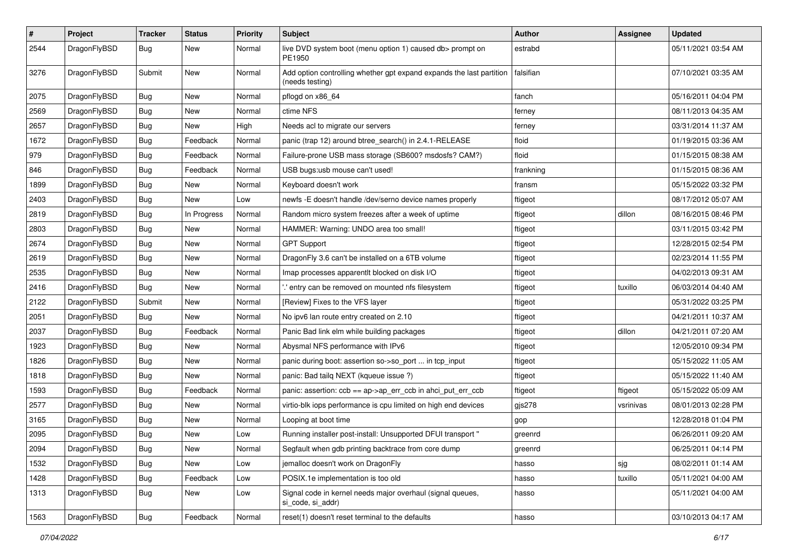| $\sharp$ | Project      | <b>Tracker</b> | <b>Status</b> | <b>Priority</b> | Subject                                                                                 | <b>Author</b> | Assignee  | <b>Updated</b>      |
|----------|--------------|----------------|---------------|-----------------|-----------------------------------------------------------------------------------------|---------------|-----------|---------------------|
| 2544     | DragonFlyBSD | Bug            | New           | Normal          | live DVD system boot (menu option 1) caused db> prompt on<br>PE1950                     | estrabd       |           | 05/11/2021 03:54 AM |
| 3276     | DragonFlyBSD | Submit         | <b>New</b>    | Normal          | Add option controlling whether gpt expand expands the last partition<br>(needs testing) | falsifian     |           | 07/10/2021 03:35 AM |
| 2075     | DragonFlyBSD | Bug            | <b>New</b>    | Normal          | pflogd on x86_64                                                                        | fanch         |           | 05/16/2011 04:04 PM |
| 2569     | DragonFlyBSD | Bug            | New           | Normal          | ctime NFS                                                                               | ferney        |           | 08/11/2013 04:35 AM |
| 2657     | DragonFlyBSD | <b>Bug</b>     | <b>New</b>    | High            | Needs acl to migrate our servers                                                        | ferney        |           | 03/31/2014 11:37 AM |
| 1672     | DragonFlyBSD | <b>Bug</b>     | Feedback      | Normal          | panic (trap 12) around btree_search() in 2.4.1-RELEASE                                  | floid         |           | 01/19/2015 03:36 AM |
| 979      | DragonFlyBSD | <b>Bug</b>     | Feedback      | Normal          | Failure-prone USB mass storage (SB600? msdosfs? CAM?)                                   | floid         |           | 01/15/2015 08:38 AM |
| 846      | DragonFlyBSD | Bug            | Feedback      | Normal          | USB bugs:usb mouse can't used!                                                          | frankning     |           | 01/15/2015 08:36 AM |
| 1899     | DragonFlyBSD | <b>Bug</b>     | New           | Normal          | Keyboard doesn't work                                                                   | fransm        |           | 05/15/2022 03:32 PM |
| 2403     | DragonFlyBSD | <b>Bug</b>     | <b>New</b>    | Low             | newfs -E doesn't handle /dev/serno device names properly                                | ftigeot       |           | 08/17/2012 05:07 AM |
| 2819     | DragonFlyBSD | <b>Bug</b>     | In Progress   | Normal          | Random micro system freezes after a week of uptime                                      | ftigeot       | dillon    | 08/16/2015 08:46 PM |
| 2803     | DragonFlyBSD | <b>Bug</b>     | New           | Normal          | HAMMER: Warning: UNDO area too small!                                                   | ftigeot       |           | 03/11/2015 03:42 PM |
| 2674     | DragonFlyBSD | Bug            | <b>New</b>    | Normal          | <b>GPT Support</b>                                                                      | ftigeot       |           | 12/28/2015 02:54 PM |
| 2619     | DragonFlyBSD | <b>Bug</b>     | New           | Normal          | DragonFly 3.6 can't be installed on a 6TB volume                                        | ftigeot       |           | 02/23/2014 11:55 PM |
| 2535     | DragonFlyBSD | <b>Bug</b>     | <b>New</b>    | Normal          | Imap processes apparentlt blocked on disk I/O                                           | ftigeot       |           | 04/02/2013 09:31 AM |
| 2416     | DragonFlyBSD | <b>Bug</b>     | <b>New</b>    | Normal          | ' entry can be removed on mounted nfs filesystem                                        | ftigeot       | tuxillo   | 06/03/2014 04:40 AM |
| 2122     | DragonFlyBSD | Submit         | <b>New</b>    | Normal          | [Review] Fixes to the VFS layer                                                         | ftigeot       |           | 05/31/2022 03:25 PM |
| 2051     | DragonFlyBSD | <b>Bug</b>     | New           | Normal          | No ipv6 lan route entry created on 2.10                                                 | ftigeot       |           | 04/21/2011 10:37 AM |
| 2037     | DragonFlyBSD | <b>Bug</b>     | Feedback      | Normal          | Panic Bad link elm while building packages                                              | ftigeot       | dillon    | 04/21/2011 07:20 AM |
| 1923     | DragonFlyBSD | <b>Bug</b>     | <b>New</b>    | Normal          | Abysmal NFS performance with IPv6                                                       | ftigeot       |           | 12/05/2010 09:34 PM |
| 1826     | DragonFlyBSD | <b>Bug</b>     | <b>New</b>    | Normal          | panic during boot: assertion so->so_port  in tcp_input                                  | ftigeot       |           | 05/15/2022 11:05 AM |
| 1818     | DragonFlyBSD | <b>Bug</b>     | New           | Normal          | panic: Bad tailq NEXT (kqueue issue ?)                                                  | ftigeot       |           | 05/15/2022 11:40 AM |
| 1593     | DragonFlyBSD | <b>Bug</b>     | Feedback      | Normal          | panic: assertion: ccb == ap->ap_err_ccb in ahci_put_err_ccb                             | ftigeot       | ftigeot   | 05/15/2022 05:09 AM |
| 2577     | DragonFlyBSD | <b>Bug</b>     | New           | Normal          | virtio-blk iops performance is cpu limited on high end devices                          | gjs278        | vsrinivas | 08/01/2013 02:28 PM |
| 3165     | DragonFlyBSD | <b>Bug</b>     | New           | Normal          | Looping at boot time                                                                    | gop           |           | 12/28/2018 01:04 PM |
| 2095     | DragonFlyBSD | <b>Bug</b>     | New           | Low             | Running installer post-install: Unsupported DFUI transport "                            | greenrd       |           | 06/26/2011 09:20 AM |
| 2094     | DragonFlyBSD | Bug            | New           | Normal          | Segfault when gdb printing backtrace from core dump                                     | greenrd       |           | 06/25/2011 04:14 PM |
| 1532     | DragonFlyBSD | <b>Bug</b>     | New           | Low             | jemalloc doesn't work on DragonFly                                                      | hasso         | sjg       | 08/02/2011 01:14 AM |
| 1428     | DragonFlyBSD | <b>Bug</b>     | Feedback      | Low             | POSIX.1e implementation is too old                                                      | hasso         | tuxillo   | 05/11/2021 04:00 AM |
| 1313     | DragonFlyBSD | Bug            | New           | Low             | Signal code in kernel needs major overhaul (signal queues,<br>si code, si addr)         | hasso         |           | 05/11/2021 04:00 AM |
| 1563     | DragonFlyBSD | <b>Bug</b>     | Feedback      | Normal          | reset(1) doesn't reset terminal to the defaults                                         | hasso         |           | 03/10/2013 04:17 AM |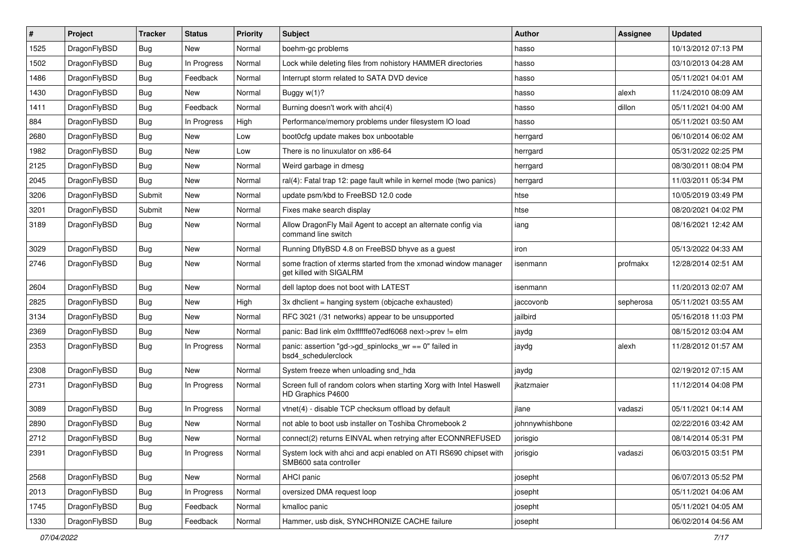| $\sharp$ | Project      | <b>Tracker</b> | <b>Status</b> | <b>Priority</b> | Subject                                                                                    | <b>Author</b>   | Assignee  | <b>Updated</b>      |
|----------|--------------|----------------|---------------|-----------------|--------------------------------------------------------------------------------------------|-----------------|-----------|---------------------|
| 1525     | DragonFlyBSD | Bug            | New           | Normal          | boehm-gc problems                                                                          | hasso           |           | 10/13/2012 07:13 PM |
| 1502     | DragonFlyBSD | Bug            | In Progress   | Normal          | Lock while deleting files from nohistory HAMMER directories                                | hasso           |           | 03/10/2013 04:28 AM |
| 1486     | DragonFlyBSD | <b>Bug</b>     | Feedback      | Normal          | Interrupt storm related to SATA DVD device                                                 | hasso           |           | 05/11/2021 04:01 AM |
| 1430     | DragonFlyBSD | <b>Bug</b>     | New           | Normal          | Buggy w(1)?                                                                                | hasso           | alexh     | 11/24/2010 08:09 AM |
| 1411     | DragonFlyBSD | Bug            | Feedback      | Normal          | Burning doesn't work with ahci(4)                                                          | hasso           | dillon    | 05/11/2021 04:00 AM |
| 884      | DragonFlyBSD | Bug            | In Progress   | High            | Performance/memory problems under filesystem IO load                                       | hasso           |           | 05/11/2021 03:50 AM |
| 2680     | DragonFlyBSD | Bug            | <b>New</b>    | Low             | boot0cfg update makes box unbootable                                                       | herrgard        |           | 06/10/2014 06:02 AM |
| 1982     | DragonFlyBSD | Bug            | New           | Low             | There is no linuxulator on x86-64                                                          | herrgard        |           | 05/31/2022 02:25 PM |
| 2125     | DragonFlyBSD | Bug            | New           | Normal          | Weird garbage in dmesg                                                                     | herrgard        |           | 08/30/2011 08:04 PM |
| 2045     | DragonFlyBSD | Bug            | <b>New</b>    | Normal          | ral(4): Fatal trap 12: page fault while in kernel mode (two panics)                        | herrgard        |           | 11/03/2011 05:34 PM |
| 3206     | DragonFlyBSD | Submit         | New           | Normal          | update psm/kbd to FreeBSD 12.0 code                                                        | htse            |           | 10/05/2019 03:49 PM |
| 3201     | DragonFlyBSD | Submit         | New           | Normal          | Fixes make search display                                                                  | htse            |           | 08/20/2021 04:02 PM |
| 3189     | DragonFlyBSD | Bug            | New           | Normal          | Allow DragonFly Mail Agent to accept an alternate config via<br>command line switch        | iang            |           | 08/16/2021 12:42 AM |
| 3029     | DragonFlyBSD | Bug            | New           | Normal          | Running DflyBSD 4.8 on FreeBSD bhyve as a guest                                            | iron            |           | 05/13/2022 04:33 AM |
| 2746     | DragonFlyBSD | Bug            | <b>New</b>    | Normal          | some fraction of xterms started from the xmonad window manager<br>get killed with SIGALRM  | isenmann        | profmakx  | 12/28/2014 02:51 AM |
| 2604     | DragonFlyBSD | Bug            | <b>New</b>    | Normal          | dell laptop does not boot with LATEST                                                      | isenmann        |           | 11/20/2013 02:07 AM |
| 2825     | DragonFlyBSD | Bug            | New           | High            | 3x dhclient = hanging system (objcache exhausted)                                          | jaccovonb       | sepherosa | 05/11/2021 03:55 AM |
| 3134     | DragonFlyBSD | Bug            | New           | Normal          | RFC 3021 (/31 networks) appear to be unsupported                                           | jailbird        |           | 05/16/2018 11:03 PM |
| 2369     | DragonFlyBSD | <b>Bug</b>     | New           | Normal          | panic: Bad link elm 0xffffffe07edf6068 next->prev != elm                                   | jaydg           |           | 08/15/2012 03:04 AM |
| 2353     | DragonFlyBSD | Bug            | In Progress   | Normal          | panic: assertion "gd->gd_spinlocks_wr == 0" failed in<br>bsd4_schedulerclock               | jaydg           | alexh     | 11/28/2012 01:57 AM |
| 2308     | DragonFlyBSD | Bug            | New           | Normal          | System freeze when unloading snd_hda                                                       | jaydg           |           | 02/19/2012 07:15 AM |
| 2731     | DragonFlyBSD | Bug            | In Progress   | Normal          | Screen full of random colors when starting Xorg with Intel Haswell<br>HD Graphics P4600    | jkatzmaier      |           | 11/12/2014 04:08 PM |
| 3089     | DragonFlyBSD | Bug            | In Progress   | Normal          | vtnet(4) - disable TCP checksum offload by default                                         | ilane           | vadaszi   | 05/11/2021 04:14 AM |
| 2890     | DragonFlyBSD | Bug            | <b>New</b>    | Normal          | not able to boot usb installer on Toshiba Chromebook 2                                     | johnnywhishbone |           | 02/22/2016 03:42 AM |
| 2712     | DragonFlyBSD | Bug            | New           | Normal          | connect(2) returns EINVAL when retrying after ECONNREFUSED                                 | jorisgio        |           | 08/14/2014 05:31 PM |
| 2391     | DragonFlyBSD | <b>Bug</b>     | In Progress   | Normal          | System lock with ahci and acpi enabled on ATI RS690 chipset with<br>SMB600 sata controller | jorisgio        | vadaszi   | 06/03/2015 03:51 PM |
| 2568     | DragonFlyBSD | <b>Bug</b>     | <b>New</b>    | Normal          | AHCI panic                                                                                 | josepht         |           | 06/07/2013 05:52 PM |
| 2013     | DragonFlyBSD | <b>Bug</b>     | In Progress   | Normal          | oversized DMA request loop                                                                 | josepht         |           | 05/11/2021 04:06 AM |
| 1745     | DragonFlyBSD | <b>Bug</b>     | Feedback      | Normal          | kmalloc panic                                                                              | josepht         |           | 05/11/2021 04:05 AM |
| 1330     | DragonFlyBSD | <b>Bug</b>     | Feedback      | Normal          | Hammer, usb disk, SYNCHRONIZE CACHE failure                                                | josepht         |           | 06/02/2014 04:56 AM |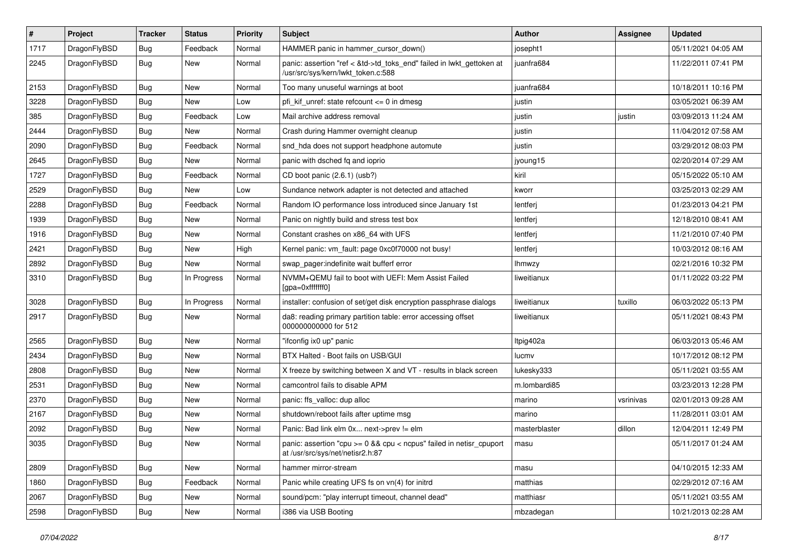| $\sharp$ | Project      | <b>Tracker</b> | <b>Status</b> | <b>Priority</b> | Subject                                                                                                    | <b>Author</b> | Assignee  | <b>Updated</b>      |
|----------|--------------|----------------|---------------|-----------------|------------------------------------------------------------------------------------------------------------|---------------|-----------|---------------------|
| 1717     | DragonFlyBSD | Bug            | Feedback      | Normal          | HAMMER panic in hammer_cursor_down()                                                                       | josepht1      |           | 05/11/2021 04:05 AM |
| 2245     | DragonFlyBSD | <b>Bug</b>     | New           | Normal          | panic: assertion "ref < &td->td_toks_end" failed in lwkt_gettoken at<br>/usr/src/sys/kern/lwkt token.c:588 | juanfra684    |           | 11/22/2011 07:41 PM |
| 2153     | DragonFlyBSD | Bug            | New           | Normal          | Too many unuseful warnings at boot                                                                         | juanfra684    |           | 10/18/2011 10:16 PM |
| 3228     | DragonFlyBSD | Bug            | <b>New</b>    | Low             | pfi kif unref: state refcount $\leq$ 0 in dmesg                                                            | justin        |           | 03/05/2021 06:39 AM |
| 385      | DragonFlyBSD | <b>Bug</b>     | Feedback      | Low             | Mail archive address removal                                                                               | justin        | justin    | 03/09/2013 11:24 AM |
| 2444     | DragonFlyBSD | Bug            | New           | Normal          | Crash during Hammer overnight cleanup                                                                      | justin        |           | 11/04/2012 07:58 AM |
| 2090     | DragonFlyBSD | <b>Bug</b>     | Feedback      | Normal          | snd_hda does not support headphone automute                                                                | justin        |           | 03/29/2012 08:03 PM |
| 2645     | DragonFlyBSD | <b>Bug</b>     | New           | Normal          | panic with dsched fq and ioprio                                                                            | jyoung15      |           | 02/20/2014 07:29 AM |
| 1727     | DragonFlyBSD | Bug            | Feedback      | Normal          | CD boot panic (2.6.1) (usb?)                                                                               | kiril         |           | 05/15/2022 05:10 AM |
| 2529     | DragonFlyBSD | <b>Bug</b>     | New           | Low             | Sundance network adapter is not detected and attached                                                      | kworr         |           | 03/25/2013 02:29 AM |
| 2288     | DragonFlyBSD | <b>Bug</b>     | Feedback      | Normal          | Random IO performance loss introduced since January 1st                                                    | lentferj      |           | 01/23/2013 04:21 PM |
| 1939     | DragonFlyBSD | <b>Bug</b>     | New           | Normal          | Panic on nightly build and stress test box                                                                 | lentferj      |           | 12/18/2010 08:41 AM |
| 1916     | DragonFlyBSD | <b>Bug</b>     | New           | Normal          | Constant crashes on x86 64 with UFS                                                                        | lentferj      |           | 11/21/2010 07:40 PM |
| 2421     | DragonFlyBSD | Bug            | New           | High            | Kernel panic: vm_fault: page 0xc0f70000 not busy!                                                          | lentferj      |           | 10/03/2012 08:16 AM |
| 2892     | DragonFlyBSD | <b>Bug</b>     | New           | Normal          | swap pager:indefinite wait bufferf error                                                                   | <b>Ihmwzy</b> |           | 02/21/2016 10:32 PM |
| 3310     | DragonFlyBSD | <b>Bug</b>     | In Progress   | Normal          | NVMM+QEMU fail to boot with UEFI: Mem Assist Failed<br>[gpa=0xfffffff0]                                    | liweitianux   |           | 01/11/2022 03:22 PM |
| 3028     | DragonFlyBSD | <b>Bug</b>     | In Progress   | Normal          | installer: confusion of set/get disk encryption passphrase dialogs                                         | liweitianux   | tuxillo   | 06/03/2022 05:13 PM |
| 2917     | DragonFlyBSD | <b>Bug</b>     | New           | Normal          | da8: reading primary partition table: error accessing offset<br>000000000000 for 512                       | liweitianux   |           | 05/11/2021 08:43 PM |
| 2565     | DragonFlyBSD | Bug            | New           | Normal          | "ifconfig ix0 up" panic                                                                                    | Itpig402a     |           | 06/03/2013 05:46 AM |
| 2434     | DragonFlyBSD | Bug            | <b>New</b>    | Normal          | BTX Halted - Boot fails on USB/GUI                                                                         | lucmv         |           | 10/17/2012 08:12 PM |
| 2808     | DragonFlyBSD | <b>Bug</b>     | New           | Normal          | X freeze by switching between X and VT - results in black screen                                           | lukesky333    |           | 05/11/2021 03:55 AM |
| 2531     | DragonFlyBSD | <b>Bug</b>     | New           | Normal          | camcontrol fails to disable APM                                                                            | m.lombardi85  |           | 03/23/2013 12:28 PM |
| 2370     | DragonFlyBSD | <b>Bug</b>     | New           | Normal          | panic: ffs_valloc: dup alloc                                                                               | marino        | vsrinivas | 02/01/2013 09:28 AM |
| 2167     | DragonFlyBSD | <b>Bug</b>     | <b>New</b>    | Normal          | shutdown/reboot fails after uptime msg                                                                     | marino        |           | 11/28/2011 03:01 AM |
| 2092     | DragonFlyBSD | <b>Bug</b>     | New           | Normal          | Panic: Bad link elm 0x next->prev != elm                                                                   | masterblaster | dillon    | 12/04/2011 12:49 PM |
| 3035     | DragonFlyBSD | i Bug          | New           | Normal          | panic: assertion "cpu >= 0 && cpu < ncpus" failed in netisr_cpuport<br>at /usr/src/sys/net/netisr2.h:87    | masu          |           | 05/11/2017 01:24 AM |
| 2809     | DragonFlyBSD | <b>Bug</b>     | New           | Normal          | hammer mirror-stream                                                                                       | masu          |           | 04/10/2015 12:33 AM |
| 1860     | DragonFlyBSD | <b>Bug</b>     | Feedback      | Normal          | Panic while creating UFS fs on vn(4) for initrd                                                            | matthias      |           | 02/29/2012 07:16 AM |
| 2067     | DragonFlyBSD | <b>Bug</b>     | <b>New</b>    | Normal          | sound/pcm: "play interrupt timeout, channel dead"                                                          | matthiasr     |           | 05/11/2021 03:55 AM |
| 2598     | DragonFlyBSD | <b>Bug</b>     | New           | Normal          | i386 via USB Booting                                                                                       | mbzadegan     |           | 10/21/2013 02:28 AM |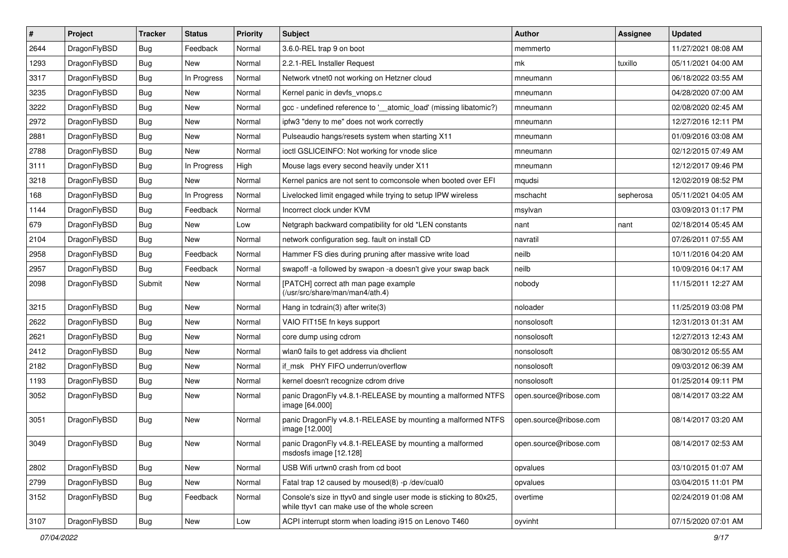| #    | Project      | <b>Tracker</b> | <b>Status</b> | <b>Priority</b> | Subject                                                                                                            | <b>Author</b>          | Assignee  | <b>Updated</b>      |
|------|--------------|----------------|---------------|-----------------|--------------------------------------------------------------------------------------------------------------------|------------------------|-----------|---------------------|
| 2644 | DragonFlyBSD | <b>Bug</b>     | Feedback      | Normal          | 3.6.0-REL trap 9 on boot                                                                                           | memmerto               |           | 11/27/2021 08:08 AM |
| 1293 | DragonFlyBSD | <b>Bug</b>     | <b>New</b>    | Normal          | 2.2.1-REL Installer Request                                                                                        | mk                     | tuxillo   | 05/11/2021 04:00 AM |
| 3317 | DragonFlyBSD | <b>Bug</b>     | In Progress   | Normal          | Network vtnet0 not working on Hetzner cloud                                                                        | mneumann               |           | 06/18/2022 03:55 AM |
| 3235 | DragonFlyBSD | <b>Bug</b>     | New           | Normal          | Kernel panic in devfs_vnops.c                                                                                      | mneumann               |           | 04/28/2020 07:00 AM |
| 3222 | DragonFlyBSD | <b>Bug</b>     | <b>New</b>    | Normal          | gcc - undefined reference to '__atomic_load' (missing libatomic?)                                                  | mneumann               |           | 02/08/2020 02:45 AM |
| 2972 | DragonFlyBSD | <b>Bug</b>     | New           | Normal          | ipfw3 "deny to me" does not work correctly                                                                         | mneumann               |           | 12/27/2016 12:11 PM |
| 2881 | DragonFlyBSD | <b>Bug</b>     | New           | Normal          | Pulseaudio hangs/resets system when starting X11                                                                   | mneumann               |           | 01/09/2016 03:08 AM |
| 2788 | DragonFlyBSD | <b>Bug</b>     | New           | Normal          | ioctl GSLICEINFO: Not working for vnode slice                                                                      | mneumann               |           | 02/12/2015 07:49 AM |
| 3111 | DragonFlyBSD | <b>Bug</b>     | In Progress   | High            | Mouse lags every second heavily under X11                                                                          | mneumann               |           | 12/12/2017 09:46 PM |
| 3218 | DragonFlyBSD | <b>Bug</b>     | New           | Normal          | Kernel panics are not sent to comconsole when booted over EFI                                                      | mqudsi                 |           | 12/02/2019 08:52 PM |
| 168  | DragonFlyBSD | <b>Bug</b>     | In Progress   | Normal          | Livelocked limit engaged while trying to setup IPW wireless                                                        | mschacht               | sepherosa | 05/11/2021 04:05 AM |
| 1144 | DragonFlyBSD | <b>Bug</b>     | Feedback      | Normal          | Incorrect clock under KVM                                                                                          | msylvan                |           | 03/09/2013 01:17 PM |
| 679  | DragonFlyBSD | <b>Bug</b>     | New           | Low             | Netgraph backward compatibility for old *LEN constants                                                             | nant                   | nant      | 02/18/2014 05:45 AM |
| 2104 | DragonFlyBSD | <b>Bug</b>     | New           | Normal          | network configuration seg. fault on install CD                                                                     | navratil               |           | 07/26/2011 07:55 AM |
| 2958 | DragonFlyBSD | <b>Bug</b>     | Feedback      | Normal          | Hammer FS dies during pruning after massive write load                                                             | neilb                  |           | 10/11/2016 04:20 AM |
| 2957 | DragonFlyBSD | <b>Bug</b>     | Feedback      | Normal          | swapoff -a followed by swapon -a doesn't give your swap back                                                       | neilb                  |           | 10/09/2016 04:17 AM |
| 2098 | DragonFlyBSD | Submit         | New           | Normal          | [PATCH] correct ath man page example<br>(/usr/src/share/man/man4/ath.4)                                            | nobody                 |           | 11/15/2011 12:27 AM |
| 3215 | DragonFlyBSD | <b>Bug</b>     | New           | Normal          | Hang in tcdrain(3) after write(3)                                                                                  | noloader               |           | 11/25/2019 03:08 PM |
| 2622 | DragonFlyBSD | <b>Bug</b>     | New           | Normal          | VAIO FIT15E fn keys support                                                                                        | nonsolosoft            |           | 12/31/2013 01:31 AM |
| 2621 | DragonFlyBSD | <b>Bug</b>     | New           | Normal          | core dump using cdrom                                                                                              | nonsolosoft            |           | 12/27/2013 12:43 AM |
| 2412 | DragonFlyBSD | <b>Bug</b>     | <b>New</b>    | Normal          | wlan0 fails to get address via dhclient                                                                            | nonsolosoft            |           | 08/30/2012 05:55 AM |
| 2182 | DragonFlyBSD | Bug            | New           | Normal          | if_msk PHY FIFO underrun/overflow                                                                                  | nonsolosoft            |           | 09/03/2012 06:39 AM |
| 1193 | DragonFlyBSD | Bug            | New           | Normal          | kernel doesn't recognize cdrom drive                                                                               | nonsolosoft            |           | 01/25/2014 09:11 PM |
| 3052 | DragonFlyBSD | <b>Bug</b>     | New           | Normal          | panic DragonFly v4.8.1-RELEASE by mounting a malformed NTFS<br>image [64.000]                                      | open.source@ribose.com |           | 08/14/2017 03:22 AM |
| 3051 | DragonFlyBSD | Bug            | New           | Normal          | panic DragonFly v4.8.1-RELEASE by mounting a malformed NTFS<br>image [12.000]                                      | open.source@ribose.com |           | 08/14/2017 03:20 AM |
| 3049 | DragonFlyBSD | Bug            | New           | Normal          | panic DragonFly v4.8.1-RELEASE by mounting a malformed<br>msdosfs image [12.128]                                   | open.source@ribose.com |           | 08/14/2017 02:53 AM |
| 2802 | DragonFlyBSD | <b>Bug</b>     | New           | Normal          | USB Wifi urtwn0 crash from cd boot                                                                                 | opvalues               |           | 03/10/2015 01:07 AM |
| 2799 | DragonFlyBSD | <b>Bug</b>     | New           | Normal          | Fatal trap 12 caused by moused(8) -p/dev/cual0                                                                     | opvalues               |           | 03/04/2015 11:01 PM |
| 3152 | DragonFlyBSD | <b>Bug</b>     | Feedback      | Normal          | Console's size in ttyv0 and single user mode is sticking to 80x25,<br>while ttyv1 can make use of the whole screen | overtime               |           | 02/24/2019 01:08 AM |
| 3107 | DragonFlyBSD | Bug            | New           | Low             | ACPI interrupt storm when loading i915 on Lenovo T460                                                              | oyvinht                |           | 07/15/2020 07:01 AM |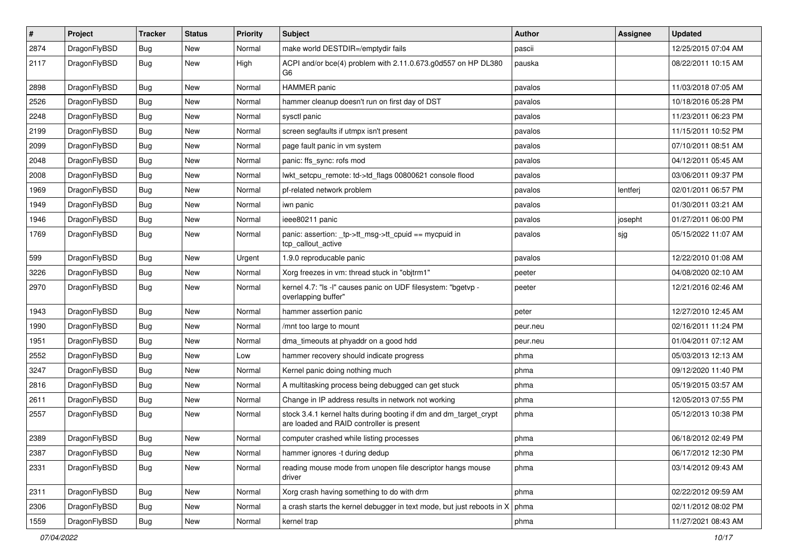| $\sharp$ | Project      | <b>Tracker</b> | <b>Status</b> | <b>Priority</b> | Subject                                                                                                        | <b>Author</b> | Assignee | <b>Updated</b>      |
|----------|--------------|----------------|---------------|-----------------|----------------------------------------------------------------------------------------------------------------|---------------|----------|---------------------|
| 2874     | DragonFlyBSD | <b>Bug</b>     | New           | Normal          | make world DESTDIR=/emptydir fails                                                                             | pascii        |          | 12/25/2015 07:04 AM |
| 2117     | DragonFlyBSD | <b>Bug</b>     | New           | High            | ACPI and/or bce(4) problem with 2.11.0.673.g0d557 on HP DL380<br>G6                                            | pauska        |          | 08/22/2011 10:15 AM |
| 2898     | DragonFlyBSD | Bug            | New           | Normal          | HAMMER panic                                                                                                   | pavalos       |          | 11/03/2018 07:05 AM |
| 2526     | DragonFlyBSD | Bug            | <b>New</b>    | Normal          | hammer cleanup doesn't run on first day of DST                                                                 | pavalos       |          | 10/18/2016 05:28 PM |
| 2248     | DragonFlyBSD | <b>Bug</b>     | New           | Normal          | sysctl panic                                                                                                   | pavalos       |          | 11/23/2011 06:23 PM |
| 2199     | DragonFlyBSD | Bug            | New           | Normal          | screen segfaults if utmpx isn't present                                                                        | pavalos       |          | 11/15/2011 10:52 PM |
| 2099     | DragonFlyBSD | <b>Bug</b>     | <b>New</b>    | Normal          | page fault panic in vm system                                                                                  | pavalos       |          | 07/10/2011 08:51 AM |
| 2048     | DragonFlyBSD | <b>Bug</b>     | New           | Normal          | panic: ffs_sync: rofs mod                                                                                      | pavalos       |          | 04/12/2011 05:45 AM |
| 2008     | DragonFlyBSD | Bug            | <b>New</b>    | Normal          | lwkt_setcpu_remote: td->td_flags 00800621 console flood                                                        | pavalos       |          | 03/06/2011 09:37 PM |
| 1969     | DragonFlyBSD | <b>Bug</b>     | New           | Normal          | pf-related network problem                                                                                     | pavalos       | lentferj | 02/01/2011 06:57 PM |
| 1949     | DragonFlyBSD | <b>Bug</b>     | New           | Normal          | iwn panic                                                                                                      | pavalos       |          | 01/30/2011 03:21 AM |
| 1946     | DragonFlyBSD | <b>Bug</b>     | New           | Normal          | ieee80211 panic                                                                                                | pavalos       | josepht  | 01/27/2011 06:00 PM |
| 1769     | DragonFlyBSD | <b>Bug</b>     | <b>New</b>    | Normal          | panic: assertion: tp->tt_msg->tt_cpuid == mycpuid in<br>tcp_callout_active                                     | pavalos       | sjg      | 05/15/2022 11:07 AM |
| 599      | DragonFlyBSD | Bug            | <b>New</b>    | Urgent          | 1.9.0 reproducable panic                                                                                       | pavalos       |          | 12/22/2010 01:08 AM |
| 3226     | DragonFlyBSD | <b>Bug</b>     | New           | Normal          | Xorg freezes in vm: thread stuck in "objtrm1"                                                                  | peeter        |          | 04/08/2020 02:10 AM |
| 2970     | DragonFlyBSD | Bug            | New           | Normal          | kernel 4.7: "Is -I" causes panic on UDF filesystem: "bgetvp -<br>overlapping buffer"                           | peeter        |          | 12/21/2016 02:46 AM |
| 1943     | DragonFlyBSD | Bug            | <b>New</b>    | Normal          | hammer assertion panic                                                                                         | peter         |          | 12/27/2010 12:45 AM |
| 1990     | DragonFlyBSD | <b>Bug</b>     | New           | Normal          | /mnt too large to mount                                                                                        | peur.neu      |          | 02/16/2011 11:24 PM |
| 1951     | DragonFlyBSD | <b>Bug</b>     | New           | Normal          | dma_timeouts at phyaddr on a good hdd                                                                          | peur.neu      |          | 01/04/2011 07:12 AM |
| 2552     | DragonFlyBSD | Bug            | <b>New</b>    | Low             | hammer recovery should indicate progress                                                                       | phma          |          | 05/03/2013 12:13 AM |
| 3247     | DragonFlyBSD | <b>Bug</b>     | <b>New</b>    | Normal          | Kernel panic doing nothing much                                                                                | phma          |          | 09/12/2020 11:40 PM |
| 2816     | DragonFlyBSD | <b>Bug</b>     | New           | Normal          | A multitasking process being debugged can get stuck                                                            | phma          |          | 05/19/2015 03:57 AM |
| 2611     | DragonFlyBSD | Bug            | New           | Normal          | Change in IP address results in network not working                                                            | phma          |          | 12/05/2013 07:55 PM |
| 2557     | DragonFlyBSD | <b>Bug</b>     | New           | Normal          | stock 3.4.1 kernel halts during booting if dm and dm_target_crypt<br>are loaded and RAID controller is present | phma          |          | 05/12/2013 10:38 PM |
| 2389     | DragonFlyBSD | Bug            | <b>New</b>    | Normal          | computer crashed while listing processes                                                                       | phma          |          | 06/18/2012 02:49 PM |
| 2387     | DragonFlyBSD | <b>Bug</b>     | New           | Normal          | hammer ignores -t during dedup                                                                                 | phma          |          | 06/17/2012 12:30 PM |
| 2331     | DragonFlyBSD | <b>Bug</b>     | New           | Normal          | reading mouse mode from unopen file descriptor hangs mouse<br>driver                                           | phma          |          | 03/14/2012 09:43 AM |
| 2311     | DragonFlyBSD | <b>Bug</b>     | <b>New</b>    | Normal          | Xorg crash having something to do with drm                                                                     | phma          |          | 02/22/2012 09:59 AM |
| 2306     | DragonFlyBSD | <b>Bug</b>     | <b>New</b>    | Normal          | a crash starts the kernel debugger in text mode, but just reboots in X                                         | phma          |          | 02/11/2012 08:02 PM |
| 1559     | DragonFlyBSD | <b>Bug</b>     | New           | Normal          | kernel trap                                                                                                    | phma          |          | 11/27/2021 08:43 AM |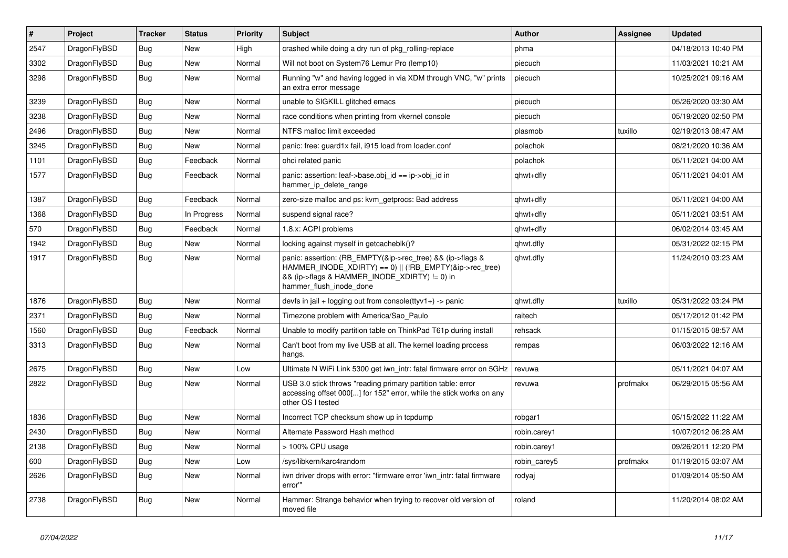| $\vert$ # | Project      | <b>Tracker</b> | <b>Status</b> | <b>Priority</b> | <b>Subject</b>                                                                                                                                                                                    | <b>Author</b> | Assignee | <b>Updated</b>      |
|-----------|--------------|----------------|---------------|-----------------|---------------------------------------------------------------------------------------------------------------------------------------------------------------------------------------------------|---------------|----------|---------------------|
| 2547      | DragonFlyBSD | Bug            | <b>New</b>    | High            | crashed while doing a dry run of pkg_rolling-replace                                                                                                                                              | phma          |          | 04/18/2013 10:40 PM |
| 3302      | DragonFlyBSD | Bug            | <b>New</b>    | Normal          | Will not boot on System76 Lemur Pro (lemp10)                                                                                                                                                      | piecuch       |          | 11/03/2021 10:21 AM |
| 3298      | DragonFlyBSD | Bug            | New           | Normal          | Running "w" and having logged in via XDM through VNC, "w" prints<br>an extra error message                                                                                                        | piecuch       |          | 10/25/2021 09:16 AM |
| 3239      | DragonFlyBSD | Bug            | <b>New</b>    | Normal          | unable to SIGKILL glitched emacs                                                                                                                                                                  | piecuch       |          | 05/26/2020 03:30 AM |
| 3238      | DragonFlyBSD | Bug            | <b>New</b>    | Normal          | race conditions when printing from vkernel console                                                                                                                                                | piecuch       |          | 05/19/2020 02:50 PM |
| 2496      | DragonFlyBSD | <b>Bug</b>     | <b>New</b>    | Normal          | NTFS malloc limit exceeded                                                                                                                                                                        | plasmob       | tuxillo  | 02/19/2013 08:47 AM |
| 3245      | DragonFlyBSD | <b>Bug</b>     | New           | Normal          | panic: free: guard1x fail, i915 load from loader.conf                                                                                                                                             | polachok      |          | 08/21/2020 10:36 AM |
| 1101      | DragonFlyBSD | <b>Bug</b>     | Feedback      | Normal          | ohci related panic                                                                                                                                                                                | polachok      |          | 05/11/2021 04:00 AM |
| 1577      | DragonFlyBSD | <b>Bug</b>     | Feedback      | Normal          | panic: assertion: leaf->base.obj id == ip->obj id in<br>hammer_ip_delete_range                                                                                                                    | qhwt+dfly     |          | 05/11/2021 04:01 AM |
| 1387      | DragonFlyBSD | <b>Bug</b>     | Feedback      | Normal          | zero-size malloc and ps: kvm getprocs: Bad address                                                                                                                                                | qhwt+dfly     |          | 05/11/2021 04:00 AM |
| 1368      | DragonFlyBSD | Bug            | In Progress   | Normal          | suspend signal race?                                                                                                                                                                              | qhwt+dfly     |          | 05/11/2021 03:51 AM |
| 570       | DragonFlyBSD | <b>Bug</b>     | Feedback      | Normal          | 1.8.x: ACPI problems                                                                                                                                                                              | qhwt+dfly     |          | 06/02/2014 03:45 AM |
| 1942      | DragonFlyBSD | Bug            | <b>New</b>    | Normal          | locking against myself in getcacheblk()?                                                                                                                                                          | qhwt.dfly     |          | 05/31/2022 02:15 PM |
| 1917      | DragonFlyBSD | Bug            | New           | Normal          | panic: assertion: (RB_EMPTY(&ip->rec_tree) && (ip->flags &<br>HAMMER_INODE_XDIRTY) == 0)    (!RB_EMPTY(&ip->rec_tree)<br>&& (ip->flags & HAMMER INODE XDIRTY) != 0) in<br>hammer flush inode done | qhwt.dfly     |          | 11/24/2010 03:23 AM |
| 1876      | DragonFlyBSD | Bug            | <b>New</b>    | Normal          | devfs in jail + logging out from console(ttyv1+) -> panic                                                                                                                                         | qhwt.dfly     | tuxillo  | 05/31/2022 03:24 PM |
| 2371      | DragonFlyBSD | <b>Bug</b>     | <b>New</b>    | Normal          | Timezone problem with America/Sao Paulo                                                                                                                                                           | raitech       |          | 05/17/2012 01:42 PM |
| 1560      | DragonFlyBSD | Bug            | Feedback      | Normal          | Unable to modify partition table on ThinkPad T61p during install                                                                                                                                  | rehsack       |          | 01/15/2015 08:57 AM |
| 3313      | DragonFlyBSD | Bug            | <b>New</b>    | Normal          | Can't boot from my live USB at all. The kernel loading process<br>hangs.                                                                                                                          | rempas        |          | 06/03/2022 12:16 AM |
| 2675      | DragonFlyBSD | <b>Bug</b>     | New           | Low             | Ultimate N WiFi Link 5300 get iwn intr: fatal firmware error on 5GHz                                                                                                                              | revuwa        |          | 05/11/2021 04:07 AM |
| 2822      | DragonFlyBSD | Bug            | <b>New</b>    | Normal          | USB 3.0 stick throws "reading primary partition table: error<br>accessing offset 000[] for 152" error, while the stick works on any<br>other OS I tested                                          | revuwa        | profmakx | 06/29/2015 05:56 AM |
| 1836      | DragonFlyBSD | Bug            | <b>New</b>    | Normal          | Incorrect TCP checksum show up in tcpdump                                                                                                                                                         | robgar1       |          | 05/15/2022 11:22 AM |
| 2430      | DragonFlyBSD | <b>Bug</b>     | New           | Normal          | Alternate Password Hash method                                                                                                                                                                    | robin.carey1  |          | 10/07/2012 06:28 AM |
| 2138      | DragonFlyBSD | Bug            | New           | Normal          | > 100% CPU usage                                                                                                                                                                                  | robin.carey1  |          | 09/26/2011 12:20 PM |
| 600       | DragonFlyBSD | <b>Bug</b>     | <b>New</b>    | Low             | /sys/libkern/karc4random                                                                                                                                                                          | robin carey5  | profmakx | 01/19/2015 03:07 AM |
| 2626      | DragonFlyBSD | Bug            | New           | Normal          | iwn driver drops with error: "firmware error 'iwn intr: fatal firmware<br>error"                                                                                                                  | rodyaj        |          | 01/09/2014 05:50 AM |
| 2738      | DragonFlyBSD | Bug            | <b>New</b>    | Normal          | Hammer: Strange behavior when trying to recover old version of<br>moved file                                                                                                                      | roland        |          | 11/20/2014 08:02 AM |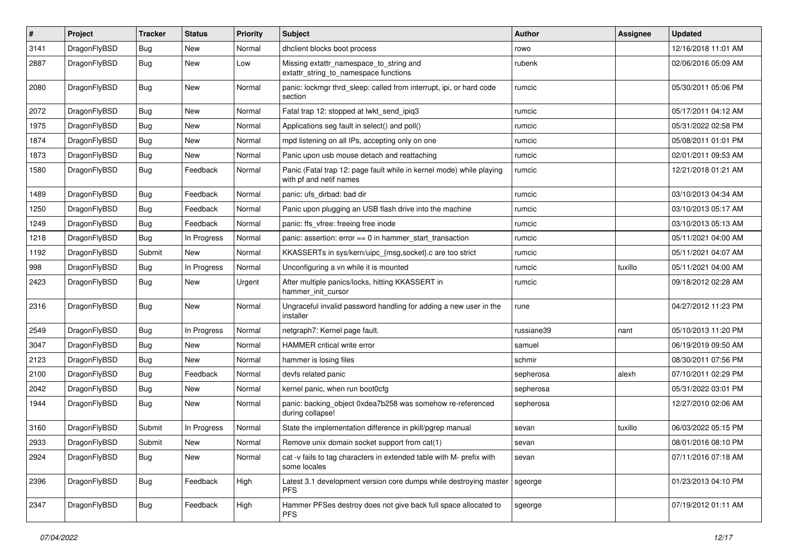| $\sharp$ | Project      | <b>Tracker</b> | <b>Status</b> | <b>Priority</b> | Subject                                                                                         | <b>Author</b> | Assignee | <b>Updated</b>      |
|----------|--------------|----------------|---------------|-----------------|-------------------------------------------------------------------------------------------------|---------------|----------|---------------------|
| 3141     | DragonFlyBSD | Bug            | <b>New</b>    | Normal          | dhclient blocks boot process                                                                    | rowo          |          | 12/16/2018 11:01 AM |
| 2887     | DragonFlyBSD | <b>Bug</b>     | New           | Low             | Missing extattr_namespace_to_string and<br>extattr_string_to_namespace functions                | rubenk        |          | 02/06/2016 05:09 AM |
| 2080     | DragonFlyBSD | Bug            | <b>New</b>    | Normal          | panic: lockmgr thrd_sleep: called from interrupt, ipi, or hard code<br>section                  | rumcic        |          | 05/30/2011 05:06 PM |
| 2072     | DragonFlyBSD | Bug            | New           | Normal          | Fatal trap 12: stopped at lwkt_send_ipiq3                                                       | rumcic        |          | 05/17/2011 04:12 AM |
| 1975     | DragonFlyBSD | Bug            | <b>New</b>    | Normal          | Applications seg fault in select() and poll()                                                   | rumcic        |          | 05/31/2022 02:58 PM |
| 1874     | DragonFlyBSD | Bug            | New           | Normal          | mpd listening on all IPs, accepting only on one                                                 | rumcic        |          | 05/08/2011 01:01 PM |
| 1873     | DragonFlyBSD | <b>Bug</b>     | New           | Normal          | Panic upon usb mouse detach and reattaching                                                     | rumcic        |          | 02/01/2011 09:53 AM |
| 1580     | DragonFlyBSD | <b>Bug</b>     | Feedback      | Normal          | Panic (Fatal trap 12: page fault while in kernel mode) while playing<br>with pf and netif names | rumcic        |          | 12/21/2018 01:21 AM |
| 1489     | DragonFlyBSD | Bug            | Feedback      | Normal          | panic: ufs dirbad: bad dir                                                                      | rumcic        |          | 03/10/2013 04:34 AM |
| 1250     | DragonFlyBSD | Bug            | Feedback      | Normal          | Panic upon plugging an USB flash drive into the machine                                         | rumcic        |          | 03/10/2013 05:17 AM |
| 1249     | DragonFlyBSD | Bug            | Feedback      | Normal          | panic: ffs vfree: freeing free inode                                                            | rumcic        |          | 03/10/2013 05:13 AM |
| 1218     | DragonFlyBSD | Bug            | In Progress   | Normal          | panic: assertion: error == 0 in hammer_start_transaction                                        | rumcic        |          | 05/11/2021 04:00 AM |
| 1192     | DragonFlyBSD | Submit         | <b>New</b>    | Normal          | KKASSERTs in sys/kern/uipc_{msg,socket}.c are too strict                                        | rumcic        |          | 05/11/2021 04:07 AM |
| 998      | DragonFlyBSD | <b>Bug</b>     | In Progress   | Normal          | Unconfiguring a vn while it is mounted                                                          | rumcic        | tuxillo  | 05/11/2021 04:00 AM |
| 2423     | DragonFlyBSD | <b>Bug</b>     | New           | Urgent          | After multiple panics/locks, hitting KKASSERT in<br>hammer init cursor                          | rumcic        |          | 09/18/2012 02:28 AM |
| 2316     | DragonFlyBSD | Bug            | New           | Normal          | Ungraceful invalid password handling for adding a new user in the<br>installer                  | rune          |          | 04/27/2012 11:23 PM |
| 2549     | DragonFlyBSD | Bug            | In Progress   | Normal          | netgraph7: Kernel page fault.                                                                   | russiane39    | nant     | 05/10/2013 11:20 PM |
| 3047     | DragonFlyBSD | Bug            | New           | Normal          | HAMMER critical write error                                                                     | samuel        |          | 06/19/2019 09:50 AM |
| 2123     | DragonFlyBSD | Bug            | New           | Normal          | hammer is losing files                                                                          | schmir        |          | 08/30/2011 07:56 PM |
| 2100     | DragonFlyBSD | <b>Bug</b>     | Feedback      | Normal          | devfs related panic                                                                             | sepherosa     | alexh    | 07/10/2011 02:29 PM |
| 2042     | DragonFlyBSD | Bug            | New           | Normal          | kernel panic, when run boot0cfg                                                                 | sepherosa     |          | 05/31/2022 03:01 PM |
| 1944     | DragonFlyBSD | <b>Bug</b>     | New           | Normal          | panic: backing_object 0xdea7b258 was somehow re-referenced<br>during collapse!                  | sepherosa     |          | 12/27/2010 02:06 AM |
| 3160     | DragonFlyBSD | Submit         | In Progress   | Normal          | State the implementation difference in pkill/pgrep manual                                       | sevan         | tuxillo  | 06/03/2022 05:15 PM |
| 2933     | DragonFlyBSD | Submit         | <b>New</b>    | Normal          | Remove unix domain socket support from cat(1)                                                   | sevan         |          | 08/01/2016 08:10 PM |
| 2924     | DragonFlyBSD | <b>Bug</b>     | New           | Normal          | cat -v fails to tag characters in extended table with M- prefix with<br>some locales            | sevan         |          | 07/11/2016 07:18 AM |
| 2396     | DragonFlyBSD | <b>Bug</b>     | Feedback      | High            | Latest 3.1 development version core dumps while destroying master<br><b>PFS</b>                 | sgeorge       |          | 01/23/2013 04:10 PM |
| 2347     | DragonFlyBSD | <b>Bug</b>     | Feedback      | High            | Hammer PFSes destroy does not give back full space allocated to<br><b>PFS</b>                   | sgeorge       |          | 07/19/2012 01:11 AM |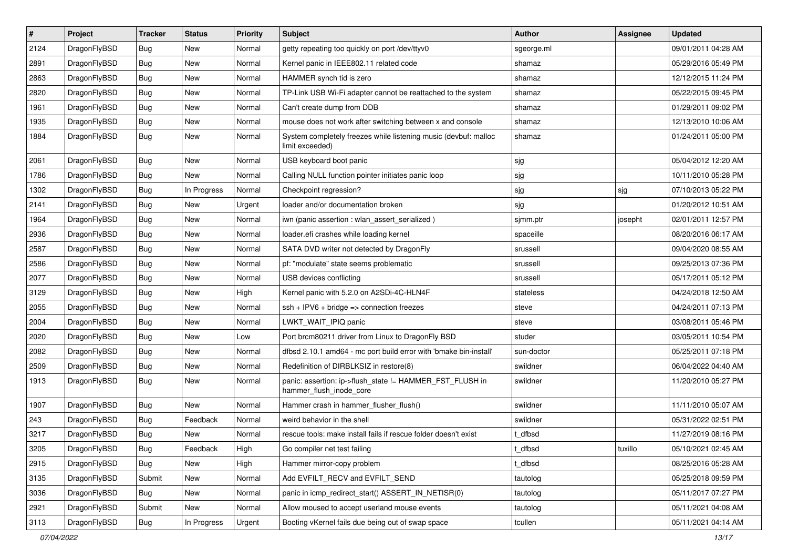| $\sharp$ | Project      | <b>Tracker</b> | <b>Status</b> | <b>Priority</b> | Subject                                                                             | <b>Author</b> | Assignee | <b>Updated</b>      |
|----------|--------------|----------------|---------------|-----------------|-------------------------------------------------------------------------------------|---------------|----------|---------------------|
| 2124     | DragonFlyBSD | Bug            | New           | Normal          | getty repeating too quickly on port /dev/ttyv0                                      | sgeorge.ml    |          | 09/01/2011 04:28 AM |
| 2891     | DragonFlyBSD | Bug            | New           | Normal          | Kernel panic in IEEE802.11 related code                                             | shamaz        |          | 05/29/2016 05:49 PM |
| 2863     | DragonFlyBSD | Bug            | <b>New</b>    | Normal          | HAMMER synch tid is zero                                                            | shamaz        |          | 12/12/2015 11:24 PM |
| 2820     | DragonFlyBSD | Bug            | New           | Normal          | TP-Link USB Wi-Fi adapter cannot be reattached to the system                        | shamaz        |          | 05/22/2015 09:45 PM |
| 1961     | DragonFlyBSD | Bug            | <b>New</b>    | Normal          | Can't create dump from DDB                                                          | shamaz        |          | 01/29/2011 09:02 PM |
| 1935     | DragonFlyBSD | Bug            | <b>New</b>    | Normal          | mouse does not work after switching between x and console                           | shamaz        |          | 12/13/2010 10:06 AM |
| 1884     | DragonFlyBSD | Bug            | New           | Normal          | System completely freezes while listening music (devbuf: malloc<br>limit exceeded)  | shamaz        |          | 01/24/2011 05:00 PM |
| 2061     | DragonFlyBSD | Bug            | <b>New</b>    | Normal          | USB keyboard boot panic                                                             | sjg           |          | 05/04/2012 12:20 AM |
| 1786     | DragonFlyBSD | Bug            | <b>New</b>    | Normal          | Calling NULL function pointer initiates panic loop                                  | sjg           |          | 10/11/2010 05:28 PM |
| 1302     | DragonFlyBSD | Bug            | In Progress   | Normal          | Checkpoint regression?                                                              | sjg           | sjg      | 07/10/2013 05:22 PM |
| 2141     | DragonFlyBSD | Bug            | <b>New</b>    | Urgent          | loader and/or documentation broken                                                  | sjg           |          | 01/20/2012 10:51 AM |
| 1964     | DragonFlyBSD | Bug            | <b>New</b>    | Normal          | iwn (panic assertion : wlan assert serialized)                                      | sjmm.ptr      | josepht  | 02/01/2011 12:57 PM |
| 2936     | DragonFlyBSD | <b>Bug</b>     | <b>New</b>    | Normal          | loader.efi crashes while loading kernel                                             | spaceille     |          | 08/20/2016 06:17 AM |
| 2587     | DragonFlyBSD | Bug            | New           | Normal          | SATA DVD writer not detected by DragonFly                                           | srussell      |          | 09/04/2020 08:55 AM |
| 2586     | DragonFlyBSD | <b>Bug</b>     | <b>New</b>    | Normal          | pf: "modulate" state seems problematic                                              | srussell      |          | 09/25/2013 07:36 PM |
| 2077     | DragonFlyBSD | Bug            | <b>New</b>    | Normal          | USB devices conflicting                                                             | srussell      |          | 05/17/2011 05:12 PM |
| 3129     | DragonFlyBSD | Bug            | <b>New</b>    | High            | Kernel panic with 5.2.0 on A2SDi-4C-HLN4F                                           | stateless     |          | 04/24/2018 12:50 AM |
| 2055     | DragonFlyBSD | Bug            | New           | Normal          | $ssh + IPV6 + bridge \Rightarrow connection freezes$                                | steve         |          | 04/24/2011 07:13 PM |
| 2004     | DragonFlyBSD | Bug            | <b>New</b>    | Normal          | LWKT_WAIT_IPIQ panic                                                                | steve         |          | 03/08/2011 05:46 PM |
| 2020     | DragonFlyBSD | <b>Bug</b>     | New           | Low             | Port brcm80211 driver from Linux to DragonFly BSD                                   | studer        |          | 03/05/2011 10:54 PM |
| 2082     | DragonFlyBSD | <b>Bug</b>     | <b>New</b>    | Normal          | dfbsd 2.10.1 amd64 - mc port build error with 'bmake bin-install'                   | sun-doctor    |          | 05/25/2011 07:18 PM |
| 2509     | DragonFlyBSD | Bug            | New           | Normal          | Redefinition of DIRBLKSIZ in restore(8)                                             | swildner      |          | 06/04/2022 04:40 AM |
| 1913     | DragonFlyBSD | <b>Bug</b>     | New           | Normal          | panic: assertion: ip->flush_state != HAMMER_FST_FLUSH in<br>hammer_flush_inode_core | swildner      |          | 11/20/2010 05:27 PM |
| 1907     | DragonFlyBSD | Bug            | <b>New</b>    | Normal          | Hammer crash in hammer_flusher_flush()                                              | swildner      |          | 11/11/2010 05:07 AM |
| 243      | DragonFlyBSD | Bug            | Feedback      | Normal          | weird behavior in the shell                                                         | swildner      |          | 05/31/2022 02:51 PM |
| 3217     | DragonFlyBSD | Bug            | New           | Normal          | rescue tools: make install fails if rescue folder doesn't exist                     | t dfbsd       |          | 11/27/2019 08:16 PM |
| 3205     | DragonFlyBSD | <b>Bug</b>     | Feedback      | High            | Go compiler net test failing                                                        | t_dfbsd       | tuxillo  | 05/10/2021 02:45 AM |
| 2915     | DragonFlyBSD | Bug            | <b>New</b>    | High            | Hammer mirror-copy problem                                                          | t_dfbsd       |          | 08/25/2016 05:28 AM |
| 3135     | DragonFlyBSD | Submit         | <b>New</b>    | Normal          | Add EVFILT_RECV and EVFILT_SEND                                                     | tautolog      |          | 05/25/2018 09:59 PM |
| 3036     | DragonFlyBSD | <b>Bug</b>     | New           | Normal          | panic in icmp redirect start() ASSERT IN NETISR(0)                                  | tautolog      |          | 05/11/2017 07:27 PM |
| 2921     | DragonFlyBSD | Submit         | New           | Normal          | Allow moused to accept userland mouse events                                        | tautolog      |          | 05/11/2021 04:08 AM |
| 3113     | DragonFlyBSD | <b>Bug</b>     | In Progress   | Urgent          | Booting vKernel fails due being out of swap space                                   | tcullen       |          | 05/11/2021 04:14 AM |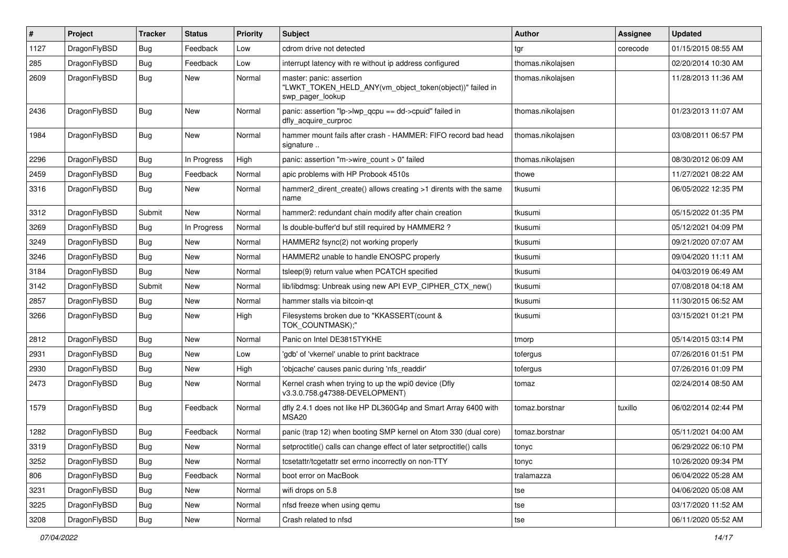| $\pmb{\#}$ | Project      | <b>Tracker</b> | <b>Status</b> | <b>Priority</b> | Subject                                                                                                  | <b>Author</b>     | <b>Assignee</b> | <b>Updated</b>      |
|------------|--------------|----------------|---------------|-----------------|----------------------------------------------------------------------------------------------------------|-------------------|-----------------|---------------------|
| 1127       | DragonFlyBSD | Bug            | Feedback      | Low             | cdrom drive not detected                                                                                 | tgr               | corecode        | 01/15/2015 08:55 AM |
| 285        | DragonFlyBSD | Bug            | Feedback      | Low             | interrupt latency with re without ip address configured                                                  | thomas.nikolajsen |                 | 02/20/2014 10:30 AM |
| 2609       | DragonFlyBSD | Bug            | New           | Normal          | master: panic: assertion<br>"LWKT_TOKEN_HELD_ANY(vm_object_token(object))" failed in<br>swp_pager_lookup | thomas.nikolajsen |                 | 11/28/2013 11:36 AM |
| 2436       | DragonFlyBSD | Bug            | <b>New</b>    | Normal          | panic: assertion "lp->lwp_qcpu == dd->cpuid" failed in<br>dfly acquire curproc                           | thomas.nikolajsen |                 | 01/23/2013 11:07 AM |
| 1984       | DragonFlyBSD | Bug            | New           | Normal          | hammer mount fails after crash - HAMMER: FIFO record bad head<br>signature                               | thomas.nikolajsen |                 | 03/08/2011 06:57 PM |
| 2296       | DragonFlyBSD | Bug            | In Progress   | High            | panic: assertion "m->wire_count > 0" failed                                                              | thomas.nikolajsen |                 | 08/30/2012 06:09 AM |
| 2459       | DragonFlyBSD | Bug            | Feedback      | Normal          | apic problems with HP Probook 4510s                                                                      | thowe             |                 | 11/27/2021 08:22 AM |
| 3316       | DragonFlyBSD | Bug            | New           | Normal          | hammer2_dirent_create() allows creating >1 dirents with the same<br>name                                 | tkusumi           |                 | 06/05/2022 12:35 PM |
| 3312       | DragonFlyBSD | Submit         | New           | Normal          | hammer2: redundant chain modify after chain creation                                                     | tkusumi           |                 | 05/15/2022 01:35 PM |
| 3269       | DragonFlyBSD | Bug            | In Progress   | Normal          | Is double-buffer'd buf still required by HAMMER2 ?                                                       | tkusumi           |                 | 05/12/2021 04:09 PM |
| 3249       | DragonFlyBSD | <b>Bug</b>     | <b>New</b>    | Normal          | HAMMER2 fsync(2) not working properly                                                                    | tkusumi           |                 | 09/21/2020 07:07 AM |
| 3246       | DragonFlyBSD | Bug            | <b>New</b>    | Normal          | HAMMER2 unable to handle ENOSPC properly                                                                 | tkusumi           |                 | 09/04/2020 11:11 AM |
| 3184       | DragonFlyBSD | Bug            | New           | Normal          | tsleep(9) return value when PCATCH specified                                                             | tkusumi           |                 | 04/03/2019 06:49 AM |
| 3142       | DragonFlyBSD | Submit         | New           | Normal          | lib/libdmsg: Unbreak using new API EVP CIPHER CTX new()                                                  | tkusumi           |                 | 07/08/2018 04:18 AM |
| 2857       | DragonFlyBSD | Bug            | New           | Normal          | hammer stalls via bitcoin-qt                                                                             | tkusumi           |                 | 11/30/2015 06:52 AM |
| 3266       | DragonFlyBSD | Bug            | <b>New</b>    | High            | Filesystems broken due to "KKASSERT(count &<br>TOK COUNTMASK);"                                          | tkusumi           |                 | 03/15/2021 01:21 PM |
| 2812       | DragonFlyBSD | Bug            | New           | Normal          | Panic on Intel DE3815TYKHE                                                                               | tmorp             |                 | 05/14/2015 03:14 PM |
| 2931       | DragonFlyBSD | Bug            | <b>New</b>    | Low             | 'gdb' of 'vkernel' unable to print backtrace                                                             | tofergus          |                 | 07/26/2016 01:51 PM |
| 2930       | DragonFlyBSD | Bug            | <b>New</b>    | High            | 'objcache' causes panic during 'nfs readdir'                                                             | tofergus          |                 | 07/26/2016 01:09 PM |
| 2473       | DragonFlyBSD | Bug            | New           | Normal          | Kernel crash when trying to up the wpi0 device (Dfly<br>v3.3.0.758.g47388-DEVELOPMENT)                   | tomaz             |                 | 02/24/2014 08:50 AM |
| 1579       | DragonFlyBSD | Bug            | Feedback      | Normal          | dfly 2.4.1 does not like HP DL360G4p and Smart Array 6400 with<br>MSA20                                  | tomaz.borstnar    | tuxillo         | 06/02/2014 02:44 PM |
| 1282       | DragonFlyBSD | <b>Bug</b>     | Feedback      | Normal          | panic (trap 12) when booting SMP kernel on Atom 330 (dual core)                                          | tomaz.borstnar    |                 | 05/11/2021 04:00 AM |
| 3319       | DragonFlyBSD | Bug            | New           | Normal          | setproctitle() calls can change effect of later setproctitle() calls                                     | tonyc             |                 | 06/29/2022 06:10 PM |
| 3252       | DragonFlyBSD | <b>Bug</b>     | New           | Normal          | tcsetattr/tcgetattr set errno incorrectly on non-TTY                                                     | tonyc             |                 | 10/26/2020 09:34 PM |
| 806        | DragonFlyBSD | <b>Bug</b>     | Feedback      | Normal          | boot error on MacBook                                                                                    | tralamazza        |                 | 06/04/2022 05:28 AM |
| 3231       | DragonFlyBSD | Bug            | New           | Normal          | wifi drops on 5.8                                                                                        | tse               |                 | 04/06/2020 05:08 AM |
| 3225       | DragonFlyBSD | Bug            | New           | Normal          | nfsd freeze when using gemu                                                                              | tse               |                 | 03/17/2020 11:52 AM |
| 3208       | DragonFlyBSD | Bug            | New           | Normal          | Crash related to nfsd                                                                                    | tse               |                 | 06/11/2020 05:52 AM |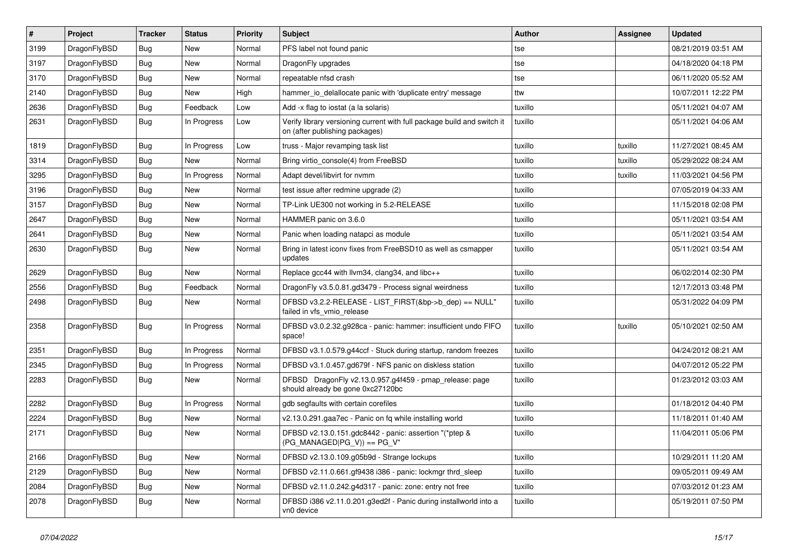| $\sharp$ | Project      | <b>Tracker</b> | <b>Status</b> | <b>Priority</b> | Subject                                                                                                   | <b>Author</b> | Assignee | <b>Updated</b>      |
|----------|--------------|----------------|---------------|-----------------|-----------------------------------------------------------------------------------------------------------|---------------|----------|---------------------|
| 3199     | DragonFlyBSD | <b>Bug</b>     | New           | Normal          | PFS label not found panic                                                                                 | tse           |          | 08/21/2019 03:51 AM |
| 3197     | DragonFlyBSD | <b>Bug</b>     | New           | Normal          | DragonFly upgrades                                                                                        | tse           |          | 04/18/2020 04:18 PM |
| 3170     | DragonFlyBSD | <b>Bug</b>     | New           | Normal          | repeatable nfsd crash                                                                                     | tse           |          | 06/11/2020 05:52 AM |
| 2140     | DragonFlyBSD | <b>Bug</b>     | New           | High            | hammer_io_delallocate panic with 'duplicate entry' message                                                | ttw           |          | 10/07/2011 12:22 PM |
| 2636     | DragonFlyBSD | <b>Bug</b>     | Feedback      | Low             | Add -x flag to iostat (a la solaris)                                                                      | tuxillo       |          | 05/11/2021 04:07 AM |
| 2631     | DragonFlyBSD | <b>Bug</b>     | In Progress   | Low             | Verify library versioning current with full package build and switch it<br>on (after publishing packages) | tuxillo       |          | 05/11/2021 04:06 AM |
| 1819     | DragonFlyBSD | <b>Bug</b>     | In Progress   | Low             | truss - Major revamping task list                                                                         | tuxillo       | tuxillo  | 11/27/2021 08:45 AM |
| 3314     | DragonFlyBSD | <b>Bug</b>     | New           | Normal          | Bring virtio_console(4) from FreeBSD                                                                      | tuxillo       | tuxillo  | 05/29/2022 08:24 AM |
| 3295     | DragonFlyBSD | <b>Bug</b>     | In Progress   | Normal          | Adapt devel/libvirt for nvmm                                                                              | tuxillo       | tuxillo  | 11/03/2021 04:56 PM |
| 3196     | DragonFlyBSD | <b>Bug</b>     | New           | Normal          | test issue after redmine upgrade (2)                                                                      | tuxillo       |          | 07/05/2019 04:33 AM |
| 3157     | DragonFlyBSD | <b>Bug</b>     | New           | Normal          | TP-Link UE300 not working in 5.2-RELEASE                                                                  | tuxillo       |          | 11/15/2018 02:08 PM |
| 2647     | DragonFlyBSD | <b>Bug</b>     | New           | Normal          | HAMMER panic on 3.6.0                                                                                     | tuxillo       |          | 05/11/2021 03:54 AM |
| 2641     | DragonFlyBSD | <b>Bug</b>     | <b>New</b>    | Normal          | Panic when loading natapci as module                                                                      | tuxillo       |          | 05/11/2021 03:54 AM |
| 2630     | DragonFlyBSD | <b>Bug</b>     | New           | Normal          | Bring in latest iconv fixes from FreeBSD10 as well as csmapper<br>updates                                 | tuxillo       |          | 05/11/2021 03:54 AM |
| 2629     | DragonFlyBSD | <b>Bug</b>     | New           | Normal          | Replace gcc44 with llvm34, clang34, and libc++                                                            | tuxillo       |          | 06/02/2014 02:30 PM |
| 2556     | DragonFlyBSD | <b>Bug</b>     | Feedback      | Normal          | DragonFly v3.5.0.81.gd3479 - Process signal weirdness                                                     | tuxillo       |          | 12/17/2013 03:48 PM |
| 2498     | DragonFlyBSD | <b>Bug</b>     | New           | Normal          | DFBSD v3.2.2-RELEASE - LIST_FIRST(&bp->b_dep) == NULL"<br>failed in vfs_vmio_release                      | tuxillo       |          | 05/31/2022 04:09 PM |
| 2358     | DragonFlyBSD | <b>Bug</b>     | In Progress   | Normal          | DFBSD v3.0.2.32.g928ca - panic: hammer: insufficient undo FIFO<br>space!                                  | tuxillo       | tuxillo  | 05/10/2021 02:50 AM |
| 2351     | DragonFlyBSD | <b>Bug</b>     | In Progress   | Normal          | DFBSD v3.1.0.579.g44ccf - Stuck during startup, random freezes                                            | tuxillo       |          | 04/24/2012 08:21 AM |
| 2345     | DragonFlyBSD | <b>Bug</b>     | In Progress   | Normal          | DFBSD v3.1.0.457.gd679f - NFS panic on diskless station                                                   | tuxillo       |          | 04/07/2012 05:22 PM |
| 2283     | DragonFlyBSD | <b>Bug</b>     | New           | Normal          | DFBSD DragonFly v2.13.0.957.g4f459 - pmap_release: page<br>should already be gone 0xc27120bc              | tuxillo       |          | 01/23/2012 03:03 AM |
| 2282     | DragonFlyBSD | <b>Bug</b>     | In Progress   | Normal          | gdb segfaults with certain corefiles                                                                      | tuxillo       |          | 01/18/2012 04:40 PM |
| 2224     | DragonFlyBSD | <b>Bug</b>     | <b>New</b>    | Normal          | v2.13.0.291.gaa7ec - Panic on fq while installing world                                                   | tuxillo       |          | 11/18/2011 01:40 AM |
| 2171     | DragonFlyBSD | <b>Bug</b>     | New           | Normal          | DFBSD v2.13.0.151.gdc8442 - panic: assertion "(*ptep &<br>$(PG_MANAGED PG_V)) == PG_V"$                   | tuxillo       |          | 11/04/2011 05:06 PM |
| 2166     | DragonFlyBSD | Bug            | New           | Normal          | DFBSD v2.13.0.109.g05b9d - Strange lockups                                                                | tuxillo       |          | 10/29/2011 11:20 AM |
| 2129     | DragonFlyBSD | Bug            | New           | Normal          | DFBSD v2.11.0.661.gf9438 i386 - panic: lockmgr thrd_sleep                                                 | tuxillo       |          | 09/05/2011 09:49 AM |
| 2084     | DragonFlyBSD | <b>Bug</b>     | New           | Normal          | DFBSD v2.11.0.242.g4d317 - panic: zone: entry not free                                                    | tuxillo       |          | 07/03/2012 01:23 AM |
| 2078     | DragonFlyBSD | <b>Bug</b>     | New           | Normal          | DFBSD i386 v2.11.0.201.g3ed2f - Panic during installworld into a<br>vn0 device                            | tuxillo       |          | 05/19/2011 07:50 PM |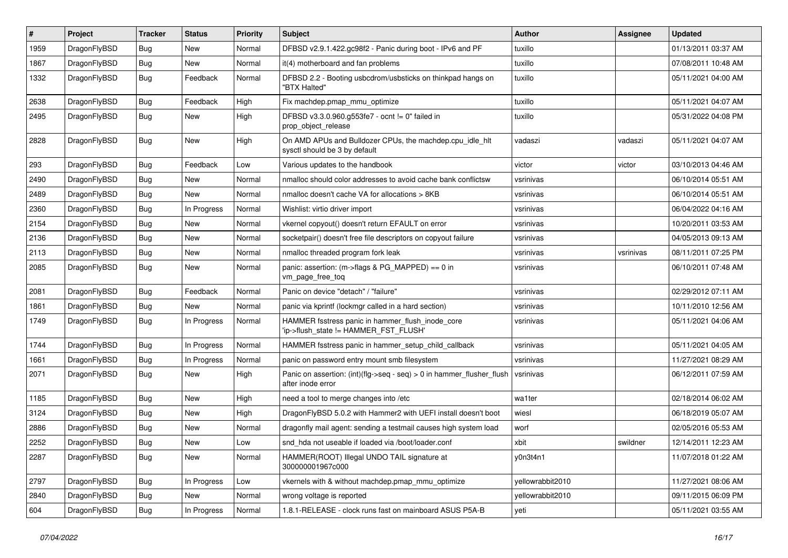| $\pmb{\#}$ | Project      | <b>Tracker</b> | <b>Status</b> | <b>Priority</b> | Subject                                                                                       | Author           | Assignee  | <b>Updated</b>      |
|------------|--------------|----------------|---------------|-----------------|-----------------------------------------------------------------------------------------------|------------------|-----------|---------------------|
| 1959       | DragonFlyBSD | Bug            | <b>New</b>    | Normal          | DFBSD v2.9.1.422.gc98f2 - Panic during boot - IPv6 and PF                                     | tuxillo          |           | 01/13/2011 03:37 AM |
| 1867       | DragonFlyBSD | Bug            | New           | Normal          | it(4) motherboard and fan problems                                                            | tuxillo          |           | 07/08/2011 10:48 AM |
| 1332       | DragonFlyBSD | <b>Bug</b>     | Feedback      | Normal          | DFBSD 2.2 - Booting usbcdrom/usbsticks on thinkpad hangs on<br>"BTX Halted"                   | tuxillo          |           | 05/11/2021 04:00 AM |
| 2638       | DragonFlyBSD | <b>Bug</b>     | Feedback      | High            | Fix machdep.pmap_mmu_optimize                                                                 | tuxillo          |           | 05/11/2021 04:07 AM |
| 2495       | DragonFlyBSD | <b>Bug</b>     | New           | High            | DFBSD v3.3.0.960.g553fe7 - ocnt != 0" failed in<br>prop_object_release                        | tuxillo          |           | 05/31/2022 04:08 PM |
| 2828       | DragonFlyBSD | Bug            | New           | High            | On AMD APUs and Bulldozer CPUs, the machdep.cpu idle hlt<br>sysctl should be 3 by default     | vadaszi          | vadaszi   | 05/11/2021 04:07 AM |
| 293        | DragonFlyBSD | <b>Bug</b>     | Feedback      | Low             | Various updates to the handbook                                                               | victor           | victor    | 03/10/2013 04:46 AM |
| 2490       | DragonFlyBSD | <b>Bug</b>     | <b>New</b>    | Normal          | nmalloc should color addresses to avoid cache bank conflictsw                                 | vsrinivas        |           | 06/10/2014 05:51 AM |
| 2489       | DragonFlyBSD | Bug            | New           | Normal          | nmalloc doesn't cache VA for allocations > 8KB                                                | vsrinivas        |           | 06/10/2014 05:51 AM |
| 2360       | DragonFlyBSD | <b>Bug</b>     | In Progress   | Normal          | Wishlist: virtio driver import                                                                | vsrinivas        |           | 06/04/2022 04:16 AM |
| 2154       | DragonFlyBSD | Bug            | New           | Normal          | vkernel copyout() doesn't return EFAULT on error                                              | vsrinivas        |           | 10/20/2011 03:53 AM |
| 2136       | DragonFlyBSD | Bug            | <b>New</b>    | Normal          | socketpair() doesn't free file descriptors on copyout failure                                 | vsrinivas        |           | 04/05/2013 09:13 AM |
| 2113       | DragonFlyBSD | <b>Bug</b>     | <b>New</b>    | Normal          | nmalloc threaded program fork leak                                                            | vsrinivas        | vsrinivas | 08/11/2011 07:25 PM |
| 2085       | DragonFlyBSD | Bug            | New           | Normal          | panic: assertion: (m->flags & PG_MAPPED) == 0 in<br>vm_page_free_toq                          | vsrinivas        |           | 06/10/2011 07:48 AM |
| 2081       | DragonFlyBSD | <b>Bug</b>     | Feedback      | Normal          | Panic on device "detach" / "failure"                                                          | vsrinivas        |           | 02/29/2012 07:11 AM |
| 1861       | DragonFlyBSD | Bug            | New           | Normal          | panic via kprintf (lockmgr called in a hard section)                                          | vsrinivas        |           | 10/11/2010 12:56 AM |
| 1749       | DragonFlyBSD | Bug            | In Progress   | Normal          | HAMMER fsstress panic in hammer_flush_inode_core<br>'ip->flush_state != HAMMER_FST_FLUSH'     | vsrinivas        |           | 05/11/2021 04:06 AM |
| 1744       | DragonFlyBSD | <b>Bug</b>     | In Progress   | Normal          | HAMMER fsstress panic in hammer_setup_child_callback                                          | vsrinivas        |           | 05/11/2021 04:05 AM |
| 1661       | DragonFlyBSD | <b>Bug</b>     | In Progress   | Normal          | panic on password entry mount smb filesystem                                                  | vsrinivas        |           | 11/27/2021 08:29 AM |
| 2071       | DragonFlyBSD | Bug            | New           | High            | Panic on assertion: $(int)(flag->seq - seq) > 0$ in hammer flusher flush<br>after inode error | vsrinivas        |           | 06/12/2011 07:59 AM |
| 1185       | DragonFlyBSD | <b>Bug</b>     | <b>New</b>    | High            | need a tool to merge changes into /etc                                                        | wa1ter           |           | 02/18/2014 06:02 AM |
| 3124       | DragonFlyBSD | Bug            | <b>New</b>    | High            | DragonFlyBSD 5.0.2 with Hammer2 with UEFI install doesn't boot                                | wiesl            |           | 06/18/2019 05:07 AM |
| 2886       | DragonFlyBSD | <b>Bug</b>     | <b>New</b>    | Normal          | dragonfly mail agent: sending a testmail causes high system load                              | worf             |           | 02/05/2016 05:53 AM |
| 2252       | DragonFlyBSD | Bug            | New           | Low             | snd hda not useable if loaded via /boot/loader.conf                                           | xbit             | swildner  | 12/14/2011 12:23 AM |
| 2287       | DragonFlyBSD | Bug            | New           | Normal          | HAMMER(ROOT) Illegal UNDO TAIL signature at<br>300000001967c000                               | y0n3t4n1         |           | 11/07/2018 01:22 AM |
| 2797       | DragonFlyBSD | <b>Bug</b>     | In Progress   | Low             | vkernels with & without machdep.pmap_mmu_optimize                                             | yellowrabbit2010 |           | 11/27/2021 08:06 AM |
| 2840       | DragonFlyBSD | <b>Bug</b>     | New           | Normal          | wrong voltage is reported                                                                     | yellowrabbit2010 |           | 09/11/2015 06:09 PM |
| 604        | DragonFlyBSD | <b>Bug</b>     | In Progress   | Normal          | 1.8.1-RELEASE - clock runs fast on mainboard ASUS P5A-B                                       | yeti             |           | 05/11/2021 03:55 AM |